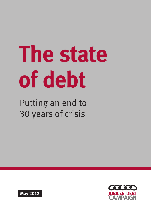# **The state of debt**

Putting an end to 30 years of crisis



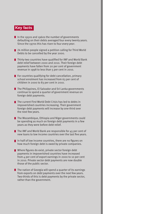# **Key facts**

- In the 1950s and 1960s the number of governments defaulting on their debts averaged four every twenty years. Since the 1970s this has risen to four every year.
- 24 million people signed a petition calling for Third World Debts to be cancelled by the year 2000.
- Thirty-two countries have qualified for IMF and World Bank debt relief between 2000 and 2010. Their foreign debt payments have fallen from 20 per cent of government revenue in 1998 to less than 5 per cent in 2010.
- $\blacksquare$  For countries qualifying for debt cancellation, primary school enrolment has increased from 63 per cent of children in 2000 to 83 per cent in 2010.
- $\blacksquare$  The Philippines, El Salvador and Sri Lanka governments continue to spend a quarter of government revenue on foreign debt payments.
- $\blacksquare$  The current First World Debt Crisis has led to debts in impoverished countries increasing. Their government foreign debt payments will increase by one-third over the next few years.
- The Mozambique, Ethiopia and Niger governments could be spending as much on foreign debt payments in a few years as they were before debt relief.
- $\blacksquare$  The IMF and World Bank are responsible for 45 per cent of new loans to low income countries over the last five years.
- In half of low income countries, there are no figures on how much foreign debt is owed by private companies.
- Where figures do exist, private sector foreign debt payments in impoverished countries have increased from 4 per cent of export earnings in 2000 to 10 per cent in 2010. Private sector debt payments are now double those of the public sector.
- $\blacksquare$  The nation of Georgia will spend a quarter of its earnings from exports on debt payments over the next few years. Two-thirds of this is debt payments by the private sector, rather than the government.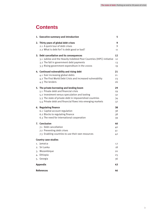# **Contents**

|    | 1. Executive summary and introduction                                                                                                                                                                                                                        | 5                                |  |  |
|----|--------------------------------------------------------------------------------------------------------------------------------------------------------------------------------------------------------------------------------------------------------------|----------------------------------|--|--|
|    | 2. Thirty years of global debt crises<br>2.1 A quick tour of debt crises                                                                                                                                                                                     | 9<br>9                           |  |  |
|    | 2.2 What is debt for? Is debt good or bad?                                                                                                                                                                                                                   | 11                               |  |  |
|    | 3. Debt cancellation and its consequences<br>3.1 Jubilee and the Heavily Indebted Poor Countries (HIPC) initiative<br>3.2 The fall in government debt payments<br>3.3 Rising government expenditure in the 2000s                                             | 12<br>12<br>13<br>19             |  |  |
|    | 4. Continued vulnerability and rising debt<br>4.1 Ever increasing global debts<br>4.2 The First World Debt Crisis and increased vulnerability<br>4.3 The lenders                                                                                             | 21<br>21<br>23<br>26             |  |  |
|    | 5. The private borrowing and lending boom<br>5.1 Private debt and financial crisis<br>5.2 Investment versus speculation and looting<br>5.3 The state of private debt in impoverished countries<br>5.4 Private debt and financial flows into emerging markets | 29<br>29<br>32<br>34<br>37       |  |  |
|    | 6. Regulating finance<br>6.1 Capital account regulation<br>6.2 Blocks to regulating finance<br>6.3 The need for international cooperation                                                                                                                    | 38<br>38<br>38<br>39             |  |  |
|    | 7. Conclusion<br>7.1 Debt cancellation<br>7.2 Preventing debt crises<br>7.3 Enabling countries to use their own resources                                                                                                                                    | 40<br>40<br>41<br>4 <sub>2</sub> |  |  |
|    | <b>Country case studies</b>                                                                                                                                                                                                                                  |                                  |  |  |
| 4. | 1. Jamaica<br>2. Sri Lanka<br>3. Mozambique<br>Ethiopia<br>5. Georgia                                                                                                                                                                                        | 17<br>18<br>20<br>25<br>36       |  |  |
|    | <b>Appendix</b><br>43                                                                                                                                                                                                                                        |                                  |  |  |
|    | <b>References</b><br>46                                                                                                                                                                                                                                      |                                  |  |  |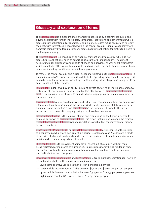# **Glossary and explanation of terms**

The capital account is a measure of all financial transactions by a country (its public and private sectors) with foreign individuals, companies, institutions and governments which creates future obligations. For example, lending money creates future obligations to repay the debt, with interest, so is recorded within the capital account. Similarly, a takeover of a domestic company by a foreign company creates a future obligation for profits to be sent to the foreign company.

The current account is a measure of all financial transactions by a country which do not create future obligations, such as exporting 100 cars for £1 million today. The current account includes all imports and exports of goods and services, as well as other transfers which do not affect the ownership of assets, such as grants, migrants sending money home, companies sending profits home and interest payments.

Together, the capital account and current account are known as the balance of payments. In theory, if a country's current account is in deficit, it is spending more than it is earning. This has to be paid for by borrowing or selling assets, creating future obligations to pay debts or send profits out of the country.

Foreign debt is debt owed by an entity (public of private sector) to an individual, company, institution of government in another country. It is also known as external debt. Domestic debt is the opposite; a debt owed to an individual, company, institution or government in the same country.

Government debt can be owed to private individuals and companies, other governments or international institutions such as the IMF and World Bank. Government debt can be either foreign or domestic. In this report, private debt is the foreign debt owed by the private sector, such as a domestic company owing a debt to a bank overseas.

Financial liberalisation is the removal of laws and regulations on the financial sector. It can also be known as financial deregulation. This report looks in particular on the removal of capital account regulations; laws and regulations which affect the movement of money between countries.

Gross Domestic Product (GDP) or Gross National Income (GNI) are measures of the income of a country as a whole for a particular time period, usually one year. An estimate is made of the price at which all final goods and services are consumed. It therefore only includes activities where something is bought or sold.

Illicit capital flight is the movement of money or assets out of a country without them being registered or monitored by authorities. This includes money being hidden in trade transactions within the same company, other forms of tax avoidance and evasion, and proceeds of crime and corruption.

Low, lower middle, upper middle and high income are World Bank classifications for how rich a country as a whole is. The classification of incomes is:

- Low income country: GNI is less than \$1,005 per person, per year
- Lower middle income country: GNI is between \$1,006 and \$3,975 per person, per year
- • Upper middle income country: GNI is between \$3,976 and \$12,275 per person, per year
- High income country: GNI is above \$12,276 per person, per year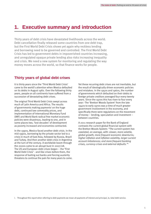# **1. Executive summary and introduction**

Thirty years of debt crisis have devastated livelihoods across the world. Debt cancellation finally released some countries from one debt trap, but the First World Debt Crisis shows yet again why reckless lending and borrowing need to be governed and controlled. The First World Debt Crisis has led to government debts in impoverished countries increasing, and unregulated opaque private lending also risks increasing inequality and crisis. We need a new system for monitoring and regulating the way money moves across the world, so that finance works for people.

## **Thirty years of global debt crises**

It is thirty years since the 'Third World Debt Crisis' came to the world's attention when Mexico defaulted on its debts in August 1982. Over the following thirty years, people on all continents have suffered from a succession of devastating debt crises.

The original Third World Debt Crisis swept across much of Latin America and Africa. The results of governments making payments<sup>i</sup> on the huge debt, continued low commodity prices, and implementation of International Monetary Fund (IMF) and World Bank radical free market economic policies were disastrous, leading to one, and in some places two, 'lost decades' of development as poverty increased and economies contracted.

In the 1990s, Mexico faced another debt crisis. In the mid-1990s, borrowing by the private sector led to a crisis in much of East Asia, followed by Russia, Brazil and Turkey. And then another debt crisis in Argentina at the turn of the century. A worldwide boom through the 2000s came to an abrupt bust in 2007/08. The US and European debt crises began – the 'First World Debt Crisis' - and like crises before them, the response of bailing out banks and forcing austerity threatens to continue the pain for many years to come. Yet these recurring debt crises are not inevitable, but the result of ideologically driven economic policies and mistakes. In the 1950s and 1960s, the number of governments which defaulted on their debts to foreign private creditors averaged four every twenty years. Since the 1970s this has risen to four every year.1 The 'Bretton Woods System' from the late 1940s to early 1970s was a time of much greater government involvement in the economy, and specifically there were regulations on the movement of money – lending, speculation and investment – between countries.

A 2011 research paper for the Bank of England contrasts the current global financial system with the Bretton Woods System: "The current system has coexisted, on average, with: slower, more volatile, global growth; more frequent economic downturns; higher inflation and inflation volatility, larger current account imbalances; and more frequent banking crises, currency crises and external defaults."<sup>2</sup>

i. Throughout this report when referring to debt payments we mean all payments of interest and principal, ie, total debt service.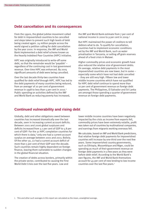## **Debt cancellation and its consequences**

From the 1990s, the global jubilee movement called for debt in impoverished countries to be cancelled and steps taken to prevent such high levels of debt being created again. 24 million people across the world signed a petition calling for debt cancellation by the year 2000. In response, the IMF and World Bank implemented a debt relief scheme known as the Heavily Indebted Poor Countries (HIPC) initiative.

HIPC was originally introduced to write-off some debt, so that the remainder would be 'payable' – regardless of the continuing cost in lost government revenue. Over time HIPC was enhanced. By 2005 significant amounts of debt were being cancelled.

Over the last decade thirty-two countries have qualified for debt relief through HIPC. HIPC has led to the debt payments of many countries being reduced, from an average<sup>i</sup> of 20 per cent of government revenue in 1998 to less than 5 per cent in 2010.3 Public spending on activities defined by the IMF and World Bank as reducing poverty has increased,

the IMF and World Bank estimate from 7 per cent of national income in 2000 to 9 per cent in 2009.4

But HIPC maintained the power of creditors to tell debtors what to do. To qualify for cancellation, countries had to implement economic conditions set by the IMF and World Bank, such as water privatisation in Tanzania, or selling off grain reserves ahead of a food crisis in Malawi.

Higher commodity prices and economic growth have also reduced the relative size of government debts. On average, relative debt payments in the most impoverished countries are now lower, but in some – especially some which have not had debt cancelled – they are still very high. Fifteen low and lower middle income countries which have not qualified for HIPC debt relief continue to spend more than 10 per cent of government revenue on foreign debt payments. The Philippines, El Salvador and Sri Lanka are amongst those spending a quarter of government revenue on foreign debt payments.

## **Continued vulnerability and rising debt**

Globally, debt and other obligations owed between countries has increased dramatically over the last decade, seen in increasing current account deficits. Between 2001 and 2006 global surpluses and deficits increased from 3.1 per cent of GDP to 5.8 per cent of GDP.5 For the 31 HIPC completion countries for which there is data,<sup>6</sup> only one had a current account surplus on average between 2001 and 2011; Bolivia. Of the other 30, 22 had a current account deficit of more than 5 per cent of their GDP over the decade. Such countries remain highly dependent on foreign finance, leaving them vulnerable to sudden changes in the global financial situation.

The creation of debts across borders, primarily within the private sector, contributed to causing the First World Debt Crisis over the last five years. Low and

lower middle income countries have been negatively impacted by the crisis as income from exports fell, commodity prices have been extremely volatile, profit was taken out of countries by multinational companies, and earnings from migrants working overseas fell.

We calculate, based on IMF and World Bank predictions, that relative foreign debt payments for impoverished countries will increase by one-third over the next few years. Some impoverished country governments, such as Ethiopia, Mozambique and Niger, could be spending as much of their government revenue on foreign debt payments in a few years as they were before debt relief. According to the World Bank's own figures, the IMF and World Bank themselves account for 45 per cent of new lending to low income countries over the last five years.7

i. This and other such averages in this report are calculated as the mean, unweighted average.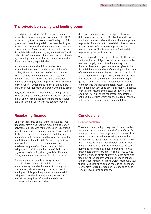## **The private borrowing and lending boom**

The original Third World Debt Crisis was caused primarily by bank lending to governments. The HIPC process sought to address some of the legacy of this government owed foreign debt. However, lending and other transactions within the private sector can also create debt and financial crisis. Both the East Asian financial crisis in the mid-1990s, and the First World Debt Crisis of recent years, have been caused primarily by borrowing, lending and other transactions within the private sector, especially banks.

All debt – private and public – can be useful if it is genuine investment in activities which benefit society. However, debt can also be unproductive when it comes from speculation on assets which already exist. This still creates future obligations – in terms of debt payments or profits being taken out of the country – which make financial crises more likely and countries more vulnerable when they occur.

Very little attention has been paid to foreign debt owed by the private sector in impoverished countries. In half of low income countries there are no figures at all. For the half of low income countries which

do report on privately owed foreign debt, average debt is over 15 per cent of GDP.<sup>8</sup> For low and lower middle income countries with data, the average debt payments of private sector owed debts has increased from 4 per cent of export earnings in 2000 to 10 per cent in 2010. This is now double foreign debt payments by the public sector.9

Whilst the growth of foreign debt owed by the private sector and other obligations in low income countries has been largely unmonitored and unreported, there has been much greater attention given to the financial flows into and out of emerging markets. One of the concerns in countries such as India and Brazil is that loose monetary policy in the US and UK – low interest rates and the creation of money through quantitative easing – have injected large amounts of money into the global financial system – some of which has been lent on to emerging markets because of the higher returns available. South Africa, India and Brazil have all asked for greater discussion of policies in countries which are the source of capital, in helping to globally regulate financial flows.<sup>10</sup>

## **Regulating finance**

One of the features of the far more stable post-War financial system was that the movement of money between countries was regulated. Such regulations have been abolished in many countries over the last thirty years, under the ideology of capital account liberalisation, heavily pushed by western controlled institutions such as the IMF. But such regulations have continued to be used in some countries; notable examples of capital account regulations being used or reintroduced include Chile in the 1990s, Malaysia during the 1990s Asian Financial Crisis, Iceland since 2008 and Brazil since 2009.

Regulating lending and borrowing between countries involves specific policies to rein in money moving in and out of countries solely for speculation, whilst allowing countries access to lending which is genuinely necessary and useful. Using such policies is a pragmatic process, but to work best requires information sharing and cooperation between countries.

## **Conclusions**

#### **Debt cancellation**

When debts are too high they need to be cancelled. People across Latin America and Africa suffered for many years from paying huge debts, and the radical free market policies which were implemented in the name of reducing debt. The debt cancellation of the last decade finally freed several countries from this trap. Yet other countries and peoples are still trying and failing to pay a debt burden which was first created thirty years ago. People across Europe today are suffering from austerity as debt payments flood out of the country, whilst economies collapse and the debt remains or grows worse. Moreover, now that HIPC is coming to an end there is no longer any mechanism for creditors to use to respond to debt crises in low income countries.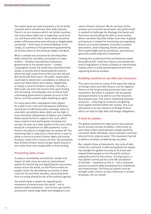This report does not seek to produce a list of all the countries which should have their debt reduced. There is no one measure which can divide countries into those where debts are so large they need to be cut, and those which don't. Some debts should be written-off because they were odiously or illegitimately contracted – from loans to General Mobutu in the Congo, to a previous Irish government guaranteeing all reckless loans to the bankrupt Anglo-Irish Bank.

What is needed are processes for deciding when debts should be cancelled, and powers to make lenders – whether international institutions, governments or the private sector – comply. Campaigners across the world have advocated debt audits; a process which would publicly examine where the debt comes from to find out who did and did not benefit from loans. The public examination could lead to democratic cancellation or default on particular debts which were odious, illegitimate, or simply a result of reckless lending. Crucially, a debt audit can learn the lessons from past lending and borrowing, and empower civil society to hold a borrowing government to greater account in the future, and help prevent debts building-up again.

For many years debt campaigners have argued for a debt court; a fair and transparent arbitration mechanism to effectively allow sovereign states to seek debt cancellation when debts are too high. A court should be independent of debtors and creditors. States would be free to apply to the court, which hears evidence from participants including civil society. As soon as a state applies to the court, there would be a moratorium on debt payments. Loans found to be odious or illegitimate are written-off. The remaining debt is reduced to a level which is seen to allow a country to protect human rights and ensure the basic needs of its citizens are met. The possibility that reckless lenders would not get repaid should in turn make them more responsible in their lending.

## **Preventing debt crises**

To reduce vulnerability and limit the number and impact of debt crises we need an international system for monitoring and regulating the way money moves across the world, so that finance works for people. Given the devastating succession of debt crises for the last three decades, preventing them from occurring should be top of the political agenda.

The world needs a system for regulating the movement of money across the world – not to prevent useful investment – but to limit speculation and prevent overly large debts and obligations and

cycles of boom and bust. We do not have all the answers as to how this would work. But political will is needed to challenge the ideology that banks and financiers should always be able to move money where and when they like hidden from view. A global architecture is needed for monitoring and regulating finance as it moves between countries to prevent speculation, asset stripping, booms and busts, illicit capital flight and tax avoidance, and enhance genuinely useful long-term investment.

Creating this architecture first and foremost needs the political will. It will also need to unscramble the knot of regulations in favour of banks in international treaties which actually prevent governments from regulating financial markets.

#### **Enabling countries to use their own resources**

This report touches on many of the ways that relying on foreign loans and other finance can be negative. There is a role for genuinely productive loans and investment. But there is a greater role for people and governments to be able to use the resources they already have. This means mobilising domestic resources – collecting tax revenues and getting local capital invested within the country. This is an alternative to an over reliance on foreign finance which can lead to high debt and foreign obligations.

#### **A time for jubilee**

The global movement for debt justice was inspired by the ancient concept of jubilee, a time every 50 years when debts owed between people would be cancelled, fields left fallow, slaves released, and land returned to its original owner. This movement has led to billions of dollars of debt being cancelled.

But, despite these achievements, the cycle of debt crises has continued. A self-serving financial system has brought the global economy to its knees and impoverished people across the world continue paying the price for this excess. To bring justice, a true jubilee cannot just be a one-off cancellation of old debt – important as this is – but a continual process to prevent debt destroying lives, livelihoods and relationships. The financial system must be brought under control, so that it becomes a servant of people, not our master.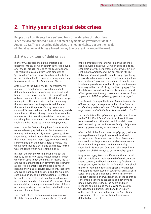# **2. Thirty years of global debt crises**

People on all continents have suffered from three decades of debt crises since Mexico announced it could not meet payments on government debt in August 1982. These recurring debt crises are not inevitable, but are the result of liberalisation which has allowed money to move rapidly around the world.

## **2.1 A quick tour of debt crises**

In the 1970s restrictions on the creation and lending of money between countries were removed, after the US brought an end to the gold standard. The relaxation, coupled with large amounts of 'petrodollars' arriving in western banks due to the oil price spikes, led to a flood of lending, especially to governments in Latin America and Africa.

At the start of the 1980s the US Federal Reserve instigated a credit squeeze, which increased dollar interest rates, the currency most loans had been given in. This also reduced US imports and outward investment, increasing the dollar exchange rate against other currencies, and so increasing the relative size of debt payments in dollars. At the same time, the prices of many raw material commodities crashed, such as for cash crops, metals and minerals. These primary commodities were the main exports for many impoverished countries, and so selling them was one of the only ways countries could earn the resources to meet debt payments.

Mexico was the first in a long line of countries which were unable to pay their debts. But there was and remains no internationally agreed system to allow countries to go bankrupt and work out how to resolve their debt situations. Instead, governments could simply default on their debts; refuse to pay. This would have caused a crisis and bankruptcy for the western banks which had lent the money.

Instead, the IMF and World Bank bailed out the banks by giving new loans to governments, which were then used to pay the banks. In return, the IMF and World Bank insisted on governments following a set of 'free market' economic policies which became known as structural adjustment. These IMF and World Bank conditions included, for example, cuts in public spending, introduction of user fees for public services such as health and education, increases in sales taxes such as VAT, removal of taxes and regulations on imports, removal of regulations on money moving across borders, privatisation and removal of labour laws.

The results of governments making payments on the debt, continued low commodity prices, and

implementation of IMF and World Bank economic policies, were disastrous. Between 1980 and 2000, economic 'growth' per person, per year was -0.5 per cent in Latin America, and -1.5 per cent in Africa.<sup>11</sup> Between 1980 and 1990 the number of people living in poverty in Latin America increased from 144 million to 211 million.<sup>12</sup> In Africa, the number of people living in extreme poverty (on less than \$1.25 a day) increased from 205 million in 1981 to 330 million by 1993.<sup>13</sup> But, the debt was not reduced. Across Latin America and Africa, government foreign owed debt increased from 17 per cent of GDP in 1980 to 33 per cent in 1990.14

Jose Antonio Ocampo, the former Colombian minister of finance, says the response in the 1980s "was an excellent way to deal with the US banking crisis, and an awful way to deal with the Latin American debt crisis". 15

The debt crisis of the 1980s and 1990s became known as the Third World Debt Crisis. It has been followed by a succession of other debt and financial crises, partly caused by the debt or other foreign obligations owed by governments, private sectors, or both.

After the fall of the Soviet Union in 1989-1991, extreme and rapid free market policies were introduced across eastern Europe and central Asia. Economies collapsed, and large new debt burdens were created. Government foreign owed debt in developing countries in Europe and Central Asia increased from 13 per cent of GDP in 1991 to 35 per cent by 1999.<sup>16</sup>

In 1994 and 1995, Mexico suffered another external debt crisis following rapid removal of restrictions on share, currency and bond ownership by foreigners.<sup>17</sup> In 1996 and 1997 the East Asian financial crisis shook the world. Foreign lenders and speculators had lent or bought up many assets in countries such as South Korea, Thailand and Indonesia. When this money suddenly stopped and was taken out of the countries concerned, economies collapsed and poverty and unemployment increased. The boom and bust in money coming in and then leaving the country was repeated in Russia, Brazil and then Turkey. At the start of the new millennium the Argentinian government refused the IMF bailout option and defaulted on its debts.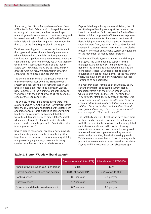Since 2007, the US and Europe have suffered from a 'First World Debt Crisis', which plunged the world economy into recession, and has caused huge unemployment in some western countries, along with increased inequality. The impact of the First World Debt Crisis is likely to last longer for many countries than that of the Great Depression in the 1930s.

Yet these recurring debt crises are not inevitable. In the 1950s and 1960s, the number of governments which defaulted on their debts to foreign private creditors averaged four every twenty years. Since the 1970s this has risen to four every year.<sup>18</sup> As Stephany Griffith-Jones, José Antonio Ocampo and Joseph Stigltz say; "Financial crises are not new, and the growing financial market liberalization since the 1970s has led to a good number of them."<sup>19</sup>

The period from the end of the Second World War to the early 1970s was when the Bretton Woods system of global economic governance was in use. It was created out of meetings in Bretton Woods, New Hampshire, in the closing years of the Second World War, with the aim of preventing the economic crises of the 1920s and 1930s.

The two key figures in the negotiations were John Maynard Keynes from the UK and Harry Dexter White from the US. Both were suspicious of the usefulness and importance of large quantities of money being lent between countries. Both agreed that there was a key difference between 'speculative' capital which sought to profit off assets which already existed, and genuinely 'productive' capital invested in new production.<sup>20</sup>

Keynes argued for a global economic system which would seek to prevent countries from being either large lenders or borrowers, thus maintaining stability, and preventing large foreign owed debts being created, whether by public or private sectors.

Keynes failed to get his system established; the US was the largest lending country at the time and not keen to be penalised for it. However, the Bretton Woods System still had large levels of intervention to prevent speculative movements of money across the world destabilising economies. Exchange rates between countries were fixed, but adjustable to allow for real changes in competitiveness, rather than speculative pressure. There was an extensive system of regulations on the movement of money across borders.

The Bretton Woods System came to an end through the 1970s. The US removed its support for the managed exchange-rate system and took the US dollar off the gold standard, allowing dollars to be more easily created. Countries began to abolish regulations on capital movements. For the next thirty years, the movement of money between countries continued to be liberalised.

In a research paper for the Bank of England, Bush, Farrant and Wright contrast the current global financial system with the Bretton Woods System which existed from 1948 to 1972. They find that "The current system has coexisted, on average, with: slower, more volatile, global growth; more frequent economic downturns; higher inflation and inflation volatility, larger current account imbalances; and more frequent banking crises, currency crises and external defaults." (See table below)<sup>21</sup>

The last thirty years of liberalisation have been more unstable and economic growth has been lower as well. This discredits those who argue for unregulated capital movements across the world; allowing money to move freely across the world is supposed to ensure investments go to where they are most useful and productive, thereby increasing growth. This however assumes that all flows of money are for productive investments – rather than the speculation Keynes and White warned of over sixty years ago.

|                                        | Bretton Woods (1948-1972) | Liberalisation (1973-2008) |
|----------------------------------------|---------------------------|----------------------------|
| Annual growth in world GDP per person  | 2.8%                      | 1.8%                       |
| Current account surpluses and deficits | 0.8% of world GDP         | 2.2% of world GDP          |
| <b>Banking crises</b>                  | 0.1 per year              | 2.6 per year               |
| <b>Currency crises</b>                 | 1.7 per year              | 3.7 per year               |
| Government defaults on external debt   | 0.7 per year              | 1.3 per year               |

## Table 1. Bretton Woods v liberalisation<sup>22</sup>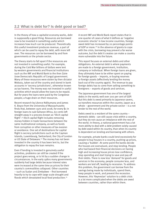# **2.2 What is debt for? Is debt good or bad?**

In the theory of how a capitalist economy works, debt is supposedly a good thing. Resources are borrowed now to be invested in something useful which increases how much can be produced. Theoretically this useful investment produces revenue, a part of which can be used to repay the debt, with more left over. The resources can be borrowed by and from governments or the private sector.

The theory starts to fall apart if the resources are not invested in something useful. For example, during the Cold War billions of dollars were lent by western governments and financial institutions such as the IMF and World Bank to the then Zaire (now Democratic Republic of Congo) government. Many of these resources were stolen by then dictator Mobutu, taken out of the country and stored in bank accounts in 'secrecy jurisdictions', otherwise known as tax havens. The money was not invested in useful activities which would allow the loans to be repaid. But for years the loans were paid by the Congolese people; a huge drain on their resources.

Recent research by Léonce Ndikumana and James K. Boyce from the University of Massachusetts finds that, between 1970 and 2008, for every \$1 in foreign loans to sub-Saharan Africa, 60 cents left straight away in a process known as 'illicit capital flight'.23 Illicit capital flight includes removing money hidden in trade transactions between the same multinational company, as well as funds from corruption or other measures of tax evasion or avoidance. One set of destinations for capital flight is secrecy jurisdictions such as the Cayman Islands, Luxembourg, Switzerland, the City of London or US State of Delaware.<sup>24</sup> The money has not been invested in the country it has been lent to, but the obligation to repay the loan remains.

Even if lending is invested in genuinely useful activities, problems can still be created if the project goes wrong, or is hit by a sudden change in circumstances. In the early 1980s many governments suddenly had large debts because interest rates were increased at the same time as prices for their country's commodities collapsed. Other countries – such as Sudan and Zimbabwe – first borrowed heavily to try to cope with large scale drought and floods which devastated local food production.25

A recent IMF and World Bank report states that in one-quarter of cases of what it defines as 'negative economic shocks' in low income countries, foreign owed debt has increased by 20 percentage points of GDP or more.<sup>26</sup> In the absence of grants to cope with the crisis, borrowing may prevent a far worse outcome, but the debt it creates can make a country more vulnerable into the future.

This report focuses on external debts and other obligations. An external debt is where payments are made to a foreign government, institution, company or individual. When foreign loans are given, they ultimately have to be either spent on paying for foreign goods – imports, or buying reserves or foreign assets (effectively lending the money back out of the country again). The revenue to pay foreign debts has to come from selling something to foreigners – exports of goods and services.

The Japanese government has one of the largest debts in the world; well over 200 per cent of GDP. But this debt is owed primarily to Japanese savers, so transfers resources within the country. Japan as a whole  $-$  government and the private sector  $-$  is a net lender to the rest of the world.

Debts owed to a resident of the same country – domestic debts - can still cause crisis within a country, but they do not cause an imbalance with the rest of the world. In theory, a national government has a lot more ability to deal with a debt problem solely caused by debt owed within its country, than when its country is dependent on lending and borrowing with others.

For example, private banks could lend excessively for people to buy houses in a country, pushing up prices, causing a 'bubble'. At some point the banks decide the houses are overvalued, and stop lending. People who had based their financial decisions on having high and increasing house prices lose confidence, stop spending and start trying to save and pay off their debts. There is now less 'demand' for goods and services in the economy, people consume less, and workers are laid off, leading to recession. To address this problem, the government can borrow from the savings being made by individuals, spend them, keep people in work, and prevent the recession. However, this 'Keynesian' solution to a debt crisis is a lot more complicated when the debts are owed between countries, rather than within them.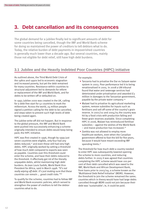# **3. Debt cancellation and its consequences**

The global demand for a jubilee finally led to significant amounts of debt for some countries being cancelled, though the IMF and World Bank scheme for doing so maintained the power of creditors to tell debtors what to do. Today, the relative burden of debt payments in impoverished countries is generally much lower than a decade ago. But several countries, mainly those not eligible for debt relief, still have high debt burdens.

# **3.1 Jubilee and the Heavily Indebted Poor Countries (HIPC) initiative**

As outlined above, the Third World Debt Crisis of the 1980s and 1990s led to economic stagnation and increased poverty, but yet the debt remained for many countries. Resistance within countries to structural adjustment led to demands for reform or replacement of the IMF and World Bank, and for debts to be written-off or defaulted on.

In 1997, Jubilee 2000 was created in the UK, calling for a debt free start for 52 countries to mark the millennium. Across the world, 24 million people signed a petition calling for the debt to be cancelled, and steps taken to prevent such high levels of debt being created again.

The jubilee write-off did not happen. But in response to the global pressure, the IMF and World Bank were pushed into successively enhancing a scheme originally intended to ensure debts would keep being paid; the HIPC initiative.

HIPC was first created in 1996, though by 1999 just seven countries were eligible, only four had any debts reduced.<sup>27</sup> and even these still had very high debts. HIPC originally worked by setting a threshold of how much debt compared to exports was seen as payable. Countries over this threshold could enter the scheme, and have their debts reduced to the threshold. It effectively got rid of the literally unpayable debts, whilst maintaining high debt burdens. As Jean Louis Sarbib, World Bank Vice-President for Africa, said in March 1998: "It's not really wiping off debt. It's just making sure that these countries can remain … good credit risks."<sup>28</sup>

To qualify for the scheme, countries had to follow IMF and World Bank economic policies, which served to strengthen the power of creditors to tell the debtor countries what to do.

For example:

- Tanzania had to privatise the Dar es Salaam water system in 2003. Poor performance led it to being renationalised in 2005. In 2008 a UN tribunal found that water and sewerage services had deteriorated under privatisation and awarded £3 million in damages to the Tanzanian government, payable by the private water company.29
- Malawi had to privatise its agricultural marketing system, remove subsidies for inputs such as fertilisers and sell off some of the country's grain reserve. In 2001/02 and 2004/05 the country was hit by a food crisis with production falling and fewer grain reserves available. Since completing HIPC in 2006, Malawi has reintroduced fertiliser subsidies – against the wishes of the World Bank – and maize production has increased.30
- Zambia was not allowed to employ more healthcare workers, even when the Canadian government offered to foot the bill for five years, because it would have meant exceeding IMF spending limits.<sup>31</sup>

The threshold for how much debt a country needed to enter HIPC was subsequently lowered opening the scheme to more countries, and reducing debts further. In 2005 it was agreed that countries completing the HIPC scheme would have 100 per cent of their debt cancelled which was owed to the IMF, World Bank and African Development Bank, from loans prior to 2003/04; a scheme known as the 'Multilateral Debt Relief Initiative' (MDRI). However, the threshold to join the scheme remained the same; countries which in theory would have had large debts cancelled through MDRI could not join because their debt was 'sustainable'; ie, it could be paid.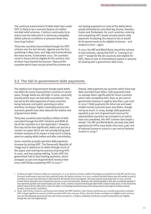The continual enhancement of debt relief seen under HIPC is likely to be a common feature of creditor led debt relief schemes. Creditors continually try to reduce just the debt which is obviously unpayable, before adverse conditions or pressure mean they have to go further.<sup>1</sup>

Thirty-two countries have trickled through the HIPC scheme over the last decade. Uganda was the first, qualifying in May 2000, and Togo and Guinea-Bissau the most recent, in December 2010. Ten countries could in theory still be eligible for the scheme, four of which have started the process." Many of the countries which have not yet joined the scheme are

not making payments on most of the debts which would ultimately be cancelled (eg, Burma, Somalia, Sudan and Zimbabwe). For such countries, entering and completing HIPC would actually lead to debt payments increasing; the reason to do so would be for governments to be eligible to borrow – and lenders to lend – again.

In 2011, the IMF and World Bank closed the scheme to new entrants, saying that HIPC is "coming to an end".<sup>32</sup> Except for the ten countries still eligible for HIPC, there is now no international system or process for dealing with a government debt crisis.

# **3.2 The fall in government debt payments**

The relative size of government foreign-owed debts has fallen for many impoverished countries in recent years, though debts are still high in some, especially several which have not had debt cancellation. This has led to the debt payments of many countries being reduced, and public spending on other activities increased. Higher commodity prices and economic growth have also reduced the relative size of government debts.

Thirty-two countries have had \$120 billion of debt cancelled through the HIPC initiative and MDRI (A list of the countries is in the Appendix).<sup>33</sup> However, this may not be that significant; debts can just be a number on paper which are not actually being paid. A better measure of its impact is how much is being spent on paying debts before and after cancellation.

Some countries actually saw their debt payments increase by joining HIPC. The Democratic Republic of Congo was in default on its debts through much of the 1990s until starting the process of joining HIPC in 2002, and was paying nothing. To join HIPC the government had to start making payments, which averaged 20 per cent of government revenue from 2002 until finally completing HIPC in 2010.34

Overall, debt payments by countries which have had debt cancelled have fallen. Debt payments have on average fallen significantly for those countries which have completed HIPC, from 20 per cent of government revenue in 1998 to less than 5 per cent in 2010.35 Debt payments for other low and lower middle income countries have also fallen, though not by as much. In 2009, foreign debt payments equalled 9 per cent of government revenue for impoverished countries not included in, or which have not completed, the HIPC scheme (see Graph 1. below). The IMF and World Bank calculate that debt payments for HIPCs have fallen from over  $\Delta$  per cent of national income in 2000 to 1 per cent of national income in 2009.36

i. Another example is Greece's debt over recent years. In 2010 Greece's private creditors first began to be bailed out with IMF and EU loans. Economic performance was less than predicted under the bailout scheme, so in 2011 creditors decided Greece was still unable to pay all its debts; a 20 per cent reduction in debt owed to the private sector was agreed. The same process took place later in 2011, and the private sector reduction was increased to around a 75 per cent reduction. However, the remaining debt is still only considered payable if very optimistic growth and export targets are met. If not, a further round of not-enough debt relief is likely to take place. In the meantime, bailout loans from the IMF and EU mean the debt is increasingly transferred away from being owed to the original reckless private lenders, and to public institutions.

ii. Chad, Cote d'Ivoire, Comoros and Guinea have started the HIPC initiative. Cote d'Ivoire and Guinea are currently expected to complete HIPC and get significant amounts of debt cancelled within the next year. Eritrea, Somalia, Sudan and Nepal are eligible to join but have not, and the Nepalese government has said it does not want to. In theory, Zimbabwe and Burma could be evaluated to be eligible, though this has not happened yet.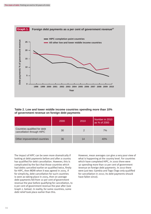

**Table 2. Low and lower middle income countries spending more than 10% of government revenue on foreign debt payments**

|                                                           | 2000 | 2010 | Number in 2010<br>as % of 2000 |
|-----------------------------------------------------------|------|------|--------------------------------|
| Countries qualified for debt<br>cancellation through HIPC | 30   |      | 7%                             |
| Other impoverished countries                              | 36   | 14   | 40%                            |

The impact of HIPC can be seen more dramatically if looking at debt payments before and after a country has qualified for debt cancellation. However, this is complicated by the fact that those countries which had debts cancelled earlier on qualified twice, firstly for HIPC, then MDRI when it was agreed in 2005. If for simplicity, debt cancellation for such countries is seen as taking place in 2005, then on average debt payments fell from 10 per cent of government revenue the year before qualifying for cancellation, to 6 per cent of government revenue the year after (see Graph 2. below). In reality, for some countries, some debt relief took place earlier than this.

However, mean averages can give a very poor view of what is happening at the country level. For countries which have completed HIPC, in 2000 there were 30 spending more than 10 per cent of government revenue on foreign debt payments. In 2010 there were just two: Gambia and Togo (Togo only qualified for cancellation in 2010; its debt payments should have fallen since).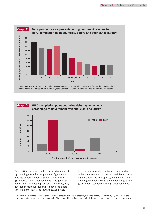

[Mean average of 32 HIPC completion point countries. For those which have qualified for debt cancellation in recent years, the values for payments in years after cancellation are from IMF and World Bank predictions].



For non-HIPC impoverished countries there are still 14 spending more than 10 per cent of government revenue on foreign debt payments, down from 36 in 2000. Whilst debt payments have generally been falling for most impoverished countries, they have fallen more for those which have had debts cancelled. Moreover, the low and lower middle

income countries with the largest debt burdens today are those which have not qualified for debt cancellation.<sup>1</sup> The Philippines, El Salvador and Sri Lanka governments continue to spend a quarter of government revenue on foreign debt payments.

i. Upper middle income countries are not covered because of research capacity, not because they cannot be highly indebted to the detriment of tackling poverty and inequality. The debt problems of one upper middle income country – Jamaica – are set out below.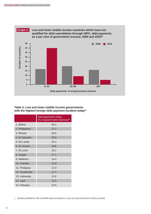

## **Table 3. Low and lower middle income governments**  with the highest foreign debt payment burdens today<sup>41</sup>

|                         | Debt payments today<br>(% of government revenue) <sup>42</sup> |
|-------------------------|----------------------------------------------------------------|
| 1. Belize               | 28.1                                                           |
| 2. Philippines          | 27.1                                                           |
| 3. Bhutan               | 26.6                                                           |
| 4. El Salvador          | 25.8                                                           |
| 5. Sri Lanka            | 24.1                                                           |
| 6. St Vincent           | 18.6                                                           |
| 7. St Lucia             | 18.1                                                           |
| 8. Angola               | 17.1                                                           |
| 9. Maldives             | 14.4                                                           |
| 10. Gambia <sup>i</sup> | 13.9                                                           |
| 11. Paraguay            | 13.3                                                           |
| 12. Guatemala           | 12.7                                                           |
| 13. Indonesia           | 11.9                                                           |
| 14. Laos                | 11.5                                                           |
| 15. Pakistan            | 10.5                                                           |

i. Gambia qualified for HIPC and MDRI debt cancellation in 2007, but only had half of its debt cancelled.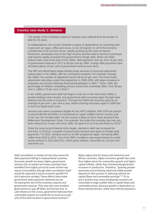## **Country case study 1: Jamaica**

The people of the Caribbean island of Jamaica have suffered from the burden of debt for 35 years.

At independence, the country inherited a legacy of dependence on exporting cash crops such as sugar, coffee and cocoa. As an oil importer, in 1973 the economy crashed due to the oil price shock, rapidly pushing up the costs of imports. Recession, devaluation due to the high oil price and the need to borrow to purchase vital imports rapidly increased the government's foreign debt. When US dollar interest rates rose at the start of the 1980s, debt payments shot up; from 16 per cent of government revenue in 1977 to 40 per cent by 1984. Foreign debt payments have remained above 20 per cent of government revenue ever since.

The IMF and World Bank began lending large amounts of structural adjustment bailout loans in the 1980s, with the consequent austerity. For example, through the 1980s, the number of registered nurses fell by 60 per cent. The most drastic adjustment took place under the programme in 1989-1993, with large increases in inequality and poverty following financial liberalisation in 1991.43 Since 1990, the percentage of children completing primary school has continually fallen, from 95 per cent in 1990 to 73 per cent in 2010.44

In the 1990s, government debt had begun to fall, but in the mid-to-late 1990s a private banking crisis ensued, and government debt increased again through bank bailouts and the costs of recession. Through the 2000s the economy grew by an average of just over 1 per cent a year, before entering recession again in 2008 due to the First World Debt Crisis.

Jamaica was never considered eligible for the HIPC initiative. With GDP per person of around \$6,500 (£4,000) it is considered an 'upper middle-income' country, and so far 'too rich' for debt relief. Yet the country is likely to fail to meet several of the Millennium Development Goals. For example, the under-five mortality rate has only been reduced by 14 per cent since 1990, the goal is to cut it by two-thirds by 2015.<sup>45</sup>

Since the most recent financial crisis began, Jamaica's debt has increased by one-third. In 2011/12, a quarter of government revenue was spent on foreign debt payments.46 In 2010, Jamaica went on an IMF programme again, borrowing \$850 million from 2010 to 2012. One of the IMF's conditions was wage freezes for public sector workers in 2010 and 2011, which given inflation, amounted to a 20 per cent real terms cut.

Debt cancellation is clearly not the only reason for debt payments falling in impoverished countries. Economic growth has been higher, government revenue has increased and many countries have benefited from higher prices for some of their key export commodities (though debt cancellation itself would be expected to boost economic growth if it led to genuine savings).These effects have made government debt payments relatively less by increasing the size of the economy, exports and government revenue. They may also have enabled governments to pay off debts and borrow less. In Latin America in the 2000s, government revenues from commodity exports accounted for as much as 50 per cent of the total increase in government revenue.47

Akyüz argues that for many Latin American and African countries, higher economic growth has come from higher prices for commodity exports and higher capital inflows, rather than domestically generated increases in production. Therefore, "gaining greater autonomy and achieving rapid and stable growth depend on their success in reducing reliance on capital flows and commodity earnings".<sup>48</sup> Or to put it another way, many developing countries are vulnerable to large sudden falls in capital flows and commodity prices, because growth is dependent on these external factors, rather than internal dynamics.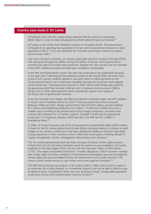## **Country case study 2: Sri Lanka**

In February 2012, the Sri Lankan press reported that the country is borrowing \$600 million in order to meet old payments of both debt principal and interest.<sup>49</sup>

Sri Lanka is one of the most indebted countries in the global South. The government is thought to be spending the equivalent of 25 per cent of government revenue on debt payments in 2012.50 If so, this would be the most the South Asian country has spent since at least 1990.<sup>51</sup>

Like many Southern countries, Sri Lanka's large debt was first created in the late 1970s. The debt grew through the 1980s. During the 1990s, 15-20 per cent of government revenue was spent on foreign debt payments. Despite this, the country was not included in the HIPC initiative because the debt was considered 'sustainable'.

In the IMF and World Bank's terms, the debt has continued to be sustainable because it has been paid. Following the devastating tsunami at the end of 2005, the Paris Club group of rich country creditors agreed a one-year freeze on debt payments to rich country governments, but no debt was cancelled (though the UK government argued some should be),<sup>52</sup> and payments resumed in 2006. Whilst total foreign debt owed by the government fell from its peak of 60 per cent of national income around 1990 to 30 per cent in 2008, debt payments have consistently stayed in the range of 15-20 per cent of government revenue.

Since the financial crisis began, the debt has started to increase again, the IMF predicts to 45 per cent of national income by 2013.<sup>53</sup> Debt payments have also increased. Between 2008 and 2010, foreign governments have lent \$2.5 billion, private creditors \$2.1 billion and multilateral institutions \$1.3 billion.<sup>54</sup> At the end of 2008 there was a sudden stop in lending to the private sector from foreign companies, and there was a sharp fall in demand for Sri Lanka's exports. Drought in 2009 also hit agricultural production.55 In response, between 2009 and 2011, the IMF lent \$1.5 billion in emergency loans.<sup>56</sup>

In 2008, UK Export Finance, part of the UK government, backed £80 million (\$130 million) of loans for the Sri Lankan government to pay British company Mabey & Johnson to build bridges in the country. At the time it had been alleged that Mabey & Johnson had made corrupt payments in other countries, and in 2009 were found guilty of bribing officials in Angola, Bangladesh, Ghana, Madagascar, Mozambique and Jamaica.<sup>57</sup>

The Sri Lankan government itself has been accused of serious human rights abuses. In April 2011 the UN Secretary General's panel of experts on accountability in Sri Lanka reported on the final stages of the civil war with the Liberation Tigers of Tanil Eelam (LTTE). The report concluded it had found: *"credible allegations, which if proven, indicate that a wide range of serious violations of international humanitarian law and international human rights law was committed both by the Government of Sri Lanka and the LTTE, some of which would amount to war crimes and crimes against humanity."* <sup>58</sup>

The IMF last conducted an analysis of Sri Lanka's debt in 2009, which said Sri Lanka is at moderate risk of debt distress, ie, a moderate chance it will not be able to afford to pay its debts in future. It predicted if there was one 'economic shock', foreign debt payments could reach 35 per cent of government revenue by 2013.59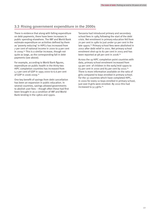# **3.3 Rising government expenditure in the 2000s**

There is evidence that along with falling expenditure on debt payments, there have been increases in public spending elsewhere. The IMF and World Bank estimate expenditure on activities defined by them as 'poverty reducing' in HIPCs has increased from 7 per cent of national income in 2000 to 9 per cent in 2009.<sup>60</sup> This is a similar increase, though not quite as large, as the corresponding fall in debt payments (see above).

For example, according to World Bank figures, expenditure on public health in the thirty-two HIPC completion countries has increased from 5.2 per cent of GDP in 1995-2000 to 6.6 per cent of GDP in 2006-2009.<sup>61</sup>

One key benefit of savings from debt cancellation has been an expansion in public education. In several countries, savings allowed governments to abolish user fees – though often these had first been brought in as a condition of IMF and World Bank lending in the 1980s and 1990s.

Tanzania had introduced primary and secondary school fees in 1984 following the start of the debt crisis. Net enrolment in primary education fell from 70 per cent in 1980 to just under 50 per cent in the late 1990s.<sup>62</sup> Primary school fees were abolished in 2002 after debt relief in 2001. Net primary school enrolment shot-up to 82 per cent in 2003 and has been reported at 98 per cent in 2008. $63$ 

Across the 19 HIPC completion point countries with data, primary school enrolment increased from 59 per cent of children in the early/mid-1990s to 63 per cent in 2000 and 83 per cent by 2010. $64$ There is more information available on the ratio of girls compared to boys enrolled in primary school. For the 32 countries which have completed HIPC, in 2000 for every 10 boys enrolled in primary school, just over 8 girls were enrolled. By 2010 this had increased to 9.5 girls. $65$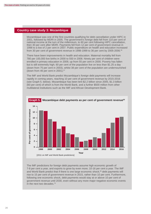## **Country case study 3: Mozambique**

Mozambique was one of the first countries qualifying for debt cancellation under HIPC in 2001, followed by MDRI in 2005. The government's foreign debt fell from 110 per cent of national income at the turn of the millennium, to 60 per cent following HIPC cancellation, then 30 per cent after MDRI. Payments fell from 12 per cent of government revenue in 1998 to a low of 2 per cent in 2007. Public expenditure on health and education increased from 30 per cent of government revenue in 1998-1999 to 36 per cent by 2005-2006.<sup>66</sup>

There have been improvements in health and education. Maternal mortality fell from 780 per 100,000 live births in 2000 to 550 in 2008. Ninety per cent of children were enrolled in primary education in 2009, up from 55 per cent in 2000. Poverty has fallen but is still extremely high; 60 per cent of the population live on less than \$1.25 a day (down from 75 per cent in 2003), whilst 38 per cent of the population are undernourished (down from 46 per cent in 2001). $67$ 

The IMF and World Bank predict Mozambique's foreign debt payments will increase rapidly in coming years, reaching 10 per cent of government revenue by 2015-2016 (see Graph 5. below). Mozambique has been lent \$2.2 billion since 2005, \$1.3 billion (60 per cent) of which is from the World Bank, and a further \$500 million from other multilateral institutions such as the IMF and African Development Bank.



**Mozambique debt payments as per cent of government revenue68 Graph 5.**

The IMF predictions for foreign debt payments assume high economic growth of 7-8 per cent a year, and exports to grow by even more; 10-16 per cent a year. The IMF and World Bank predict that if there is one large economic shock,<sup>69</sup> debt payments will rise to 15 per cent of government revenue in 2015, rather than 10 per cent. Furthermore, following one economic shock, debt payments would stay at or above 10 per cent of government revenue until 2030, even without any more major negative economic events in the next two decades.<sup>70</sup>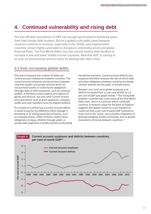# **4. Continued vulnerability and rising debt**

The one-off debt cancellation of HIPC has brought government's breathing space from high foreign debt burdens. But on a global scale debts owed between countries continue to increase, especially in the 2000s, and impoverished countries remain highly vulnerable to changes in commodity prices and global financial flows. The First World Debt Crisis has caused relative debt burdens to increase in low and lower middle income countries. Now that HIPC is coming to an end, no international scheme exists for dealing with debt crises.

## **4.1 Ever increasing global debts**

One way to measure the creation of debts are current account imbalances between countries. The current account measures all transactions between countries (public and private sectors) which do not purchase assets or create future obligations (through debt or other payments, such as company profits). It therefore covers imports and exports of goods and services, but also other current income and expenditure such as grant payments, company profits and cash transfers home by migrant workers.

If a country as a whole has a current account deficit, it needs to pay for the difference either through i) borrowing or ii) selling ownership of assets, such as company shares. Either of these creates future obligations to repay, whether through public or private debt payments or profits earned locally being transferred overseas. Current account deficits and surpluses therefore measure the rate at which debt and other obligations between countries are being created, whether by the public or private sector.

Between 2001 and 2006 global surpluses and deficits increased from 3.1 per cent of GDP to 5.8 per cent of GDP (see graph below).<sup>71</sup> This rising debt between countries was a key cause of the First World Debt Crisis. And it is a process which could well continue. A research paper for the Bank of England suggests that global current account imbalances could rise from 4 per cent of world GDP currently to 8 per cent in the 2030s, due to further integration of growing emerging market economies, and so greater movements of money between countries.72

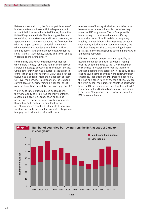Between 2001 and 2011, the four largest 'borrowers' in absolute terms – those with the largest current account deficits - were the United States, Spain, the United Kingdom and Italy. The four largest 'lenders' were China, Japan, Germany and Russia. However, as a percentage of their own economy, the five countries with the largest current account deficit were two which had debts cancelled through HIPC – Liberia and Sao Tome – and three already heavily indebted small islands – Seychelles, St Kitts and Nevis, and St Vincent and the Grenadines.74

For the thirty-one HIPC completion countries for which there is data,<sup>75</sup> only one had a current account surplus on average between 2001 and 2011; Bolivia. Of the other thirty, ten had a current account deficit of more than 10 per cent of their GDP,76 and a further twelve had a deficit of more than 5 per cent of their GDP over the decade.77 In comparison, the UK had a current account deficit averaging 2 per cent of GDP over the same time period. Greece's was 9 per cent.<sup>78</sup>

Whilst debt cancellation reduced debt burdens, the vulnerability of HIPC's has generally not fallen. Most remain heavily dependent on public and private foreign borrowing and, private investment. Depending so heavily on foreign lending and investment makes countries vulnerable if there is a sudden stop to the money. It also creates obligations to repay the lender or investor in the future.

Another way of looking at whether countries have become more or less vulnerable is whether they are on an IMF programme. The IMF supposedly lends money to countries which are suffering from a short-term 'liquidity crisis'; a temporary inability to meet debt or other payments because your money is locked-up elsewhere. However, the IMF often interprets this to mean selling off assets (privatisation) or cutting public spending are ways of 'unlocking' resources.

IMF loans are not spent on anything specific, but used to meet debt and other payments, rolling over the debt to be owed to the IMF. The number of countries in receipt of IMF loans is therefore another measure of vulnerability. In the early 2000s over 30 low income countries were borrowing such emergency loans from the IMF. Despite debt relief, this had only fallen to 24 by the start of 2008. Since the crisis began, the number of countries borrowing from the IMF has risen again (see Graph 7. below).79 Countries such as Burkina Faso, Malawi and Sierra Leone have 'temporarily' been borrowing from the IMF for over a decade.

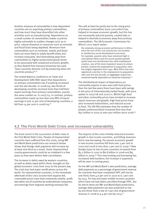Another measure of vulnerability is how dependent countries are on exporting primary commodities, and how much they have diversified into other activities such as manufacturing. Dependence on a small number of commodities makes countries highly vulnerable to sudden changes such as in price, natural disasters or resources such as minerals and fossil fuels being depleted. Revenues from commodities such as minerals, metals and fossil fuels are more likely to solely benefit elites and increase inequality. And diversifying away from commodities to higher-productivity goods tends to be associated with sustained economic growth; as Dani Rodrik from Harvard University has said: "poor countries become rich by producing what rich countries produce". 81

The United Nations Conference on Trade and Development (UNCTAD) report that dependence on primary commodities has if anything increased over the last decade. In 2008/09, two-thirds of developing countries received more than half their export earnings from primary commodities, exactly the same number as in 2002/03. In contrast, primary commodities made up less than one-fifth of export earnings in just 10 per cent of developing countries, a fall from  $14$  per cent in 2008/09.<sup>82</sup>

This will at least be partly due to the rising price of primary commodities since 2003 which has helped to increase economic growth, but this has not necessarily reduced poverty, created jobs or helped to diversify economies away from primary commodities. The UN Economic Commission for Africa's 2011 report states:

the relatively strong economic performance in Africa since the turn of the 21st century has not resulted in satisfactory social development outcomes. For example, poverty rates have remained high in sub-Saharan Africa and the recent positive growth spells have not transformed into solid employment creation, one of the most important means to reduce poverty. Indeed the employment-to-population ratio has largely stagnated since 1991. West Africa has even registered a decline in the employment-to-population ratio over the last decade, as aggregate output has remained heavily dependent on extractive industries.<sup>83</sup>

The distributional impact of dependency on commodity exports is also seen with food prices. Over the last few years there have been wild swings in the price of internationally traded foods, with price spikes in 2007/08 and 2010/11. Whilst high food and other commodity prices have tended to increase export revenues and growth, high food prices have also increased malnutrition, and reduced access to food. The UN FAO estimates that the number of people undernourished increased from less than 850 million in 2005 to over 900 million since 2008.84

# **4.2 The First World Debt Crisis and increased vulnerability**

The most recent in the succession of debt crises is the First World Debt Crisis. People of impoverished countries have suffered from this crisis; using IMF and World Bank predictions our research below shows that foreign debt payments will increase by at least one-third as a result. Some impoverished country governments could be as indebted in a few years as they were before debt cancellation.

The increase in debts owed by western countries, as well as debts owed within them, brought on the global economic crisis from 2007 to the present day. The crisis has had major ramifications across the world. For impoverished countries, in the immediate aftermath of the crisis income from exports fell, commodity prices have been extremely volatile, profit was taken out of countries by multinational companies, and earnings from migrants working overseas fell.

The impacts of the crisis initially reduced economic growth in low income countries, and falling revenues led to new borrowing. Per person economic growth in low income countries fell from over 3 per cent in 2007 and 2008 to less than 1 per cent in 2009. $85$  New foreign loans to low income countries increased from \$5.2 billion in 2007 to \$6.8 billion in 2008 and \$9 billion in 2009.<sup>86</sup> This new lending and borrowing has increased debt burdens; the increase in payments will be seen in coming years.

On the IMF and World Bank's own predictions, average debt payments as a percentage of government revenue for countries that have completed HIPC will rise by one-third; from 4.6 per cent in 2010 to 6.1 per cent by 2014. For low and lower middle income countries which have not had debts cancelled through HIPC, but for which there are IMF and World Bank predictions, average debt payments are also predicted to rise by one-third; from a low of 7 per cent of government revenue in 2008 to 9.4 per cent by 2014.<sup>87</sup>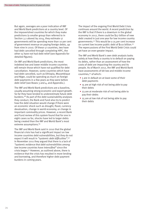But again, averages are a poor indication of IMF and World Bank predictions at a country level. Of the impoverished countries for which they make predictions (a smaller group than referred to in Section 3.2 above) by 2014, they estimate 17 governments will be spending more than 10 per cent of government revenue on paying foreign debts, up from nine in 2010. Of these 17 countries, two have had debt cancelled through completing HIPC, the other 15 have not had debt relief (see Appendix for detailed figures).

On IMF and World Bank predictions, the most indebted low and lower middle income countries will remain those which have not qualified for debt cancellation. However, some countries which have had debt cancelled, such as Ethiopia, Mozambique and Niger, could be spending as much on foreign debt payments in a few years as they were before debt relief (see Boxes 3 and 4, and Appendix.).

The IMF and World Bank predictions are a baseline, usually assuming strong economic and export growth. So far they have tended to underestimate future debt burdens.88 As part of the debt sustainability analyses they conduct, the Bank and Fund also try to predict how the debt situation would change if there were an economic shock such as drought, flood, currency devaluation, change in world economy, or change in important commodity prices. However, a recent Bank and Fund review of this system found that for one in eight cases so far, shocks have led to larger debts being created than the IMF and World Bank's most extreme assumptions.<sup>89</sup>

The IMF and World Bank said in 2010 that the global financial crisis has had a significant impact on low income countries debt vulnerabilities, but they do not expect it will result in "systemic debt difficulties". 90 In November 2011 they argued that there is a lack of "systemic evidence that debt vulnerabilities among low income countries have intensified" since the crisis began.91 However, as outlined above, there is evidence that the crisis has resulted in more lending and borrowing, and therefore higher debt payment burdens in coming years.

The impact of the ongoing First World Debt Crisis continues around the world. A recent prediction by the IMF is that if there is a downturn in the global economy in 2012, there could be \$27 billion of new debt created in just one year for low income country governments.92 This would be a 25 per cent increase on current low income public debt of \$110 billion.93 The repercussions of the First World Debt Crisis could yet have an even greater impact.

The IMF and World Bank's own debt analysis looks solely at how likely a country is to default on paying its debts, rather than an assessment of how the costs of debt are impacting the country and its people. As of March 2012, the IMF and World Bank have assessments of 68 low and middle income countries,94 of which:

- 5 are in default on at least some of their debt payments
- 15 are at high risk of not being able to pay their debts
- 23 are at moderate risk of not being able to pay their debts
- 25 are at low risk of not being able to pay their debts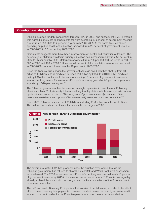## **Country case study 4: Ethiopia**

Ethiopia qualified for debt cancellation through HIPC in 2004, and subsequently MDRI when it was agreed in 2005. Its debt payments fell from averaging 10 per cent of government revenue a year from 1998-2000 to 4 per cent a year from 2007-2009. At the same time, combined spending on public health and education increased from 22 per cent of government revenue in 2000-2001 to 32 per cent by 2006-2007.95

Official data suggests there have been improvements in health and education outcomes. The percentage of children enrolled in primary education has increased rapidly from 50 per cent in 2004 to 85 per cent by 2009. Maternal mortality fell from 750 per 100,000 live births in 2000 to 560 in 2005 and 470 in 2008.<sup>96</sup> However, 41 per cent of the population were undernourished in 2006-2008, not much lower than the 48 per cent in 2000-2002.<sup>97</sup>

Since the financial crisis began the government's foreign owed debt has shot-up from \$3 billion to \$7 billion, and is predicted to reach \$10 billion by 2014. In 2010 the IMF predicted that by 2014 the country would be back to spending 10 per cent of government revenue a year on debt payments. This assumes Ethiopia's economy grows by 7-8 per cent a year, and exports by 17-20 per cent a year.<sup>98</sup>

The Ethiopian government has become increasingly repressive in recent years. Following elections in May 2011, Amnesty International say that legislation which severely limits human rights activities came into force. *"The independent press was severely restricted. State resources, assistance and opportunities were broadly used to control the population."*<sup>99</sup>

Since 2005, Ethiopia has been lent \$5.6 billion, including \$1.6 billion from the World Bank. The bulk of this has been lent since the financial crisis began in 2008.



The severe drought in 2011 has probably made the situation even worse, though the Ethiopian government has refused to allow the latest IMF and World Bank debt assessment to be released. The 2010 assessment said Ethiopia's debt payments would reach 15 per cent of government revenue by 2015 in the case of one economic shock.101 Ethiopia has arguably already suffered this shock with the drought, and the knock-on effects of the European debt crisis may be another.

The IMF and World Bank say Ethiopia is still at low risk of debt distress; ie, it should be able to afford to keep meeting debt payments. However, the debt created in recent years may lead to as much of a debt burden for the Ethiopian people as existed before debt cancellation.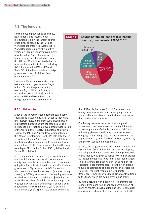# **4.3 The lenders**

For the most impoverished countries, governments and international institutions remain the largest source of lending, particularly the IMF and World Bank themselves. According to World Bank figures, over the last five years, low income country governments have been lent \$40 billion by foreign lenders, 45 per cent of which is from the IMF and World Bank. \$30 billion is from multilateral institutions, including \$18 billion from the IMF and World Bank. \$8 billion has come from foreign governments, and \$2 billion from private lenders.102

Lower middle income countries have been lent a much greater sum; \$290 billion. Of this, the private sector has lent \$130 billion, multilateral institutions \$100 billion (\$77 billion from the IMF and World Bank) and foreign governments \$60 billion.104

## **Source of foreign loans to low income**  country governments, 2006-2010<sup>103</sup> **Graph 9.**



## **4.3.1 Aid lending**

Much of the governmental lending to low income countries is classified as 'aid'. Because they have low interest rates, loans from subsidised parts of multilateral institutions are counted as aid. This includes the International Development Association of the World Bank, Poverty Reduction and Growth Trust of the IMF, and African Development Fund of the African Development Bank. We calculate that in 2010 \$9.4 billion in 'aid' was given to multilateral institutions which then used it to subsidise lower interest loans.105 The largest users of aid in this way were Japan (\$2.2 billion), the UK (\$1.3 billion) and France (\$1.2 billion).

Governments also continue to give low-interest loans which are counted as aid, as are some equity investments in companies, which create an obligation for profits to be paid back – effectively to governments. Figures from the OECD show that 'aid' loans and other 'investments' (such as buying shares) by OECD governments to developing countries totalled \$10 billion in 2007 rising to \$16 billion by 2010. The top giver of such loans and buying shares (equity) is by far Japan, averaging \$7 billion a year, followed by France (\$2 billion a year), Germany (\$1.8 billion a year), Spain (\$0.7 billion a year) and

the UK (\$0.7 billion a year).<sup>106 107</sup> These loans and equity investments are to all developing countries, and may be more likely to be middle income rather than low income countries.

Combining these two sources of lending and investments, we therefore estimate \$25 billion in 2010 - 20 per cent of what is counted as 'aid' – is ultimately given to developing countries as loans or equity rather than grants. In absolute terms, the largest lender is Japan, followed by France, Germany and the UK (see Table in Appendix).

In 2007, the UK government announced it would give £850 million (\$1.4 billion) for countries to adapt to, and mitigate, climate change over coming years. Much of this money was given to various World Bank funds as capital, so has had to be lent rather than granted. This so far includes £217 million (\$350 million) of capital for a programme created in the World Bank to fund adaptation to climate change in developing countries, the Pilot Programme for Climate Resilience. Other countries made grant contributions to the fund, which are being given-on as grants.

By June 2011, the World Bank Pilot Programme for Climate Resilience had announced \$370 million of loans to countries such as Bangladesh, Nepal, Niger and Zambia, virtually all of which was originally UK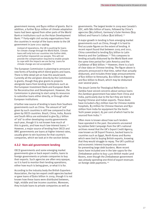government money, and \$400 million of grants. But in addition, a further \$750 million of climate adaptation loans had been agreed from other parts of the World Bank or institutions such as the Asian Development Bank.108 Forty-eight civil society organisations from the countries in receipt of the loans wrote to the UK government in June 2011 saying:

instead of reparations, the UK is pushing for loans for climate change through the World Bank. Climate loans will only lock our countries into further debt, and further impoverish our people. This will not provide the compensation required to enable people to cope with the impacts we are facing. Loans for climate change are not acceptable. 109

The European Commission is planning to announce new forms of funding which blend grants and loans. There is little detail yet on how this would work. Currently all the aid given directly by the Commission is grants, though they give grants to projects alongside loans from lending institutions such as the European Investment Bank and European Bank for Reconstruction and Development. However, the Commission is planning to start using its resources to subsidise loans either directly, or through other European institutions.

A further new source of lending is loans from Southern governments such as China. The amount of 'aid' given by such countries is still low compared to that given by OECD countries. Brazil, China, India, Russia and South Africa are estimated to give \$3.7 billion of 'aid' to other developing country governments each year, though it is not known how much of this is grants, and how much low-interest loans.<sup>110</sup> However, a major source of lending from OECD and BRIC governments are loans at higher interest rates, usually given to win business for that country's companies, which we look at in the section below.

## **4.3.2 Non-aid government lending**

OECD governments and some emerging market governments give or back export credits; loans to foreign governments or private companies to buy their exports. Such agencies are often very opaque, so it is hard to monitor their lending operations; either how much is being given, or what it is for.

According to the industry body the British Exporters Association, the top ten export credit agencies backed or gave loans of \$260 billion in 2009, though it is not known how these loans were distributed between, high, middle and low income countries. Moreover, they include loans to private companies as well as

governments. The largest lender in 2009 was Canada's EDC, with \$80 billion of loans, followed by China's agencies (\$63 billion), Germany's Euler Hermes (\$29 billion) and France's Coface (\$26 billion).<sup>111</sup>

A major growth in lending is from emerging market governments such as China, though it is hard to find accurate figures on the extent of lending. A recent report found that between 2005 and 2011, China committed to lending \$75 billion to Latin America and the Caribbean.<sup>112</sup> This compares to lending actually disbursed by the World Bank over the same time period for Latin America and the Caribbean of  $$66$  billion.<sup>113</sup> However, there is a lack of clear data on Chinese lending. The figure above is amounts announced in that time, rather than actually disbursed, and includes three large announcements of \$20 billion to Venezuela, \$10 billion to Argentina and \$10 billion to Brazil, which may be disbursed over several years.

The Jesuit Centre for Theological Reflection in Zambia have voiced concerns about various loans the Zambian government has taken from China and India, particularly due to the fact they are tied to buying Chinese and Indian exports. These deals have included a \$53 million loan for Chinese mobile hospitals, \$3 million for Chinese Hearses and \$50 million from India for equipment for the Itezhi-Tezhi power project, 85 per cent of which had to be sourced from India.<sup>114</sup>

Often more is known about how such lenders have operated in the past. Documents uncovered by Jubilee Debt Campaign from the UK's national archives reveal that the UK's Export Credit Agency, now known as UK Export Finance, backed loans to countries such as Egypt, North Korea and Burma which were tied to buying British exports, knowing that they would struggle to repay. The UK's political and economic interest trumped any concern for preventing large debt burdens. More recent loans have included one in the late-1990s for the Zimbabwean police to buy 1,500 British made Land Rovers, even though the Zimbabwean government was already spending one-third of export revenues on foreign debt payments.<sup>115</sup>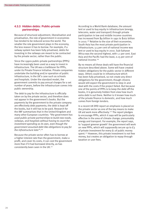#### **4.3.3 Hidden debts: Public-private partnerships**

Because of structural adjustment, liberalisation and privatisation, the role of government in economies has tended to be reduced across the world. The smaller the role government plays in the economy, the less reason it has to borrow. For example, if a railway system has been fully privatised, debts for investing in the railways are meant to be contracted by the private sector, rather than the public.

Since the 1990s public-private partnerships (PPPs) have increasingly been used as a way to invest in infrastructure. The UK was a trailblazer for PPPs, under its Private Finance Initiative. Private companies undertake the building and/or operation of public infrastructure, in the UK's case such as schools and hospitals. Under the standard model, the government commits to pay annual charges for a set number of years, before the infrastructure comes into public ownership.

The debt to pay for the infrastructure is officially taken on by the private sector, and therefore does not appear in the government's books. But the payments by the government to the private company are effectively debt payments; the debt is kept off the books, but it still has to be paid. Research for the IMF summarises that in the United Kingdom and many other European countries: "the government has used public-private partnerships to build new roads, railways, and hospitals without having to count the investment spending as its own, even though the government assumed debt-like obligations to pay for the infrastructure later". 116

Because the private sector often has to borrow at a higher interest rate than the government, make a profit, and cover its costs, it can cost the government more than if it had borrowed directly, as has consistently been seen in the UK.<sup>117</sup>

According to a World Bank database, the amount lent or used to buy equity in infrastructure (energy, telecoms, water and transport) through private participation in low and middle income countries has increased from \$9 billion in 1991 to \$162 billion in 2010.118 Relative to the size of their economies, South Asia has the most private participation in infrastructure; 3.5 per cent of national income was lent or used to buy equity in 2010. Sub-Saharan Africa was the second highest, with 1.1 per cent. East Asia and the Pacific had the least, 0.15 per cent of national income.<sup>119</sup>

By no means all these deals will have the financial structure described above. Some will have created hidden obligations for the public sector in different ways. Others could be in infrastructure which has been fully privatised, so not create any direct obligations for the government; though citizens would still expect the government to step-in and deal with the costs if the project failed. But because one of the points of PPPs is to keep the debt off the books, it is genuinely hidden from view how much extra debt is out there. Neither is it known how much of the private finance is domestic, and how much comes from foreign lenders.

In a recent UK DfID report an emphasis is placed on the private sector as one of the key means to make UK aid work more effectively.<sup>120</sup> The report pledges to encourage PPPs, which it says will be particularly effective in the area of climate change; presumably energy and transport. For example, the report says, to 'support greener growth' the government will work on new PPPs, which will supposedly secure up to £3 of private investment for every £1 of public money spent.<sup>121</sup> However, this private investment is not free money, but creates an obligation to repay through taxation or user fees.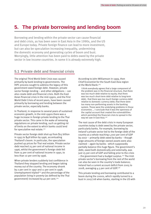# **5. The private borrowing and lending boom**

Borrowing and lending within the private sector can cause financial and debt crisis, as has been seen in East Asia in the 1990s, and the US and Europe today. Private foreign finance can lead to more investment, but can also be speculation increasing inequality, undermining the domestic economy and generating cycles of boom and bust. Worryingly, little attention has been paid to debts owed by the private sector in low income countries. In some it is already extremely high.

## **5.1 Private debt and financial crisis**

The original Third World Debt Crisis was caused primarily by bank lending to governments. The HIPC process sought to address the legacy of this government owed foreign debt. However, private sector foreign lending – and other obligations – can also create debt and financial crisis. Both the East Asian financial crisis in the mid-1990s, and the First World Debt Crisis of recent years, have been caused primarily by borrowing and lending between the private sector, especially banks.

In Thailand, in response to several years of sustained economic growth, in the mid-1990s there was a huge increase in foreign private lending to the Thai private sector. This came in the wake of removing regulations on private lending, such as getting rid of limits on the extent to which banks could lend for speculative real estate.<sup>122</sup>

Private sector foreign debt shot-up from \$15 billion in 1993 to \$48 billion by 1996, accentuating Thailand's boom. In particular, the speculation pushed up prices for Thai real estate. Private sector debt reached 25 per cent of national income in 1996, whilst the government's foreign debt fell from 15 per cent of national income in 1990, to less than 10 per cent by 1996.

When private lenders suddenly lost confidence in Thailand they stopped lending and began taking money out of the country. The economy shrank by 2 per cent in 1997 and 11 per cent in 1998. Unemployment tripled $123$  and the percentage of the population living in poverty (as defined by the Thai government) increased by 40 per cent.124

According to John Williamson in 1999, then Chief Economist for the South East Asia region at the World Bank:<sup>125</sup>

I think everybody agrees that a large component of the problem was in the financial structure, that there was too much debt relative to equity; that there was too much short-term debt relative to long-term debt; that there was too much foreign currency debt relative to domestic currency debt; that there were too many non-performing assets in the banking system. Those were the underlying problems in those economies … I conclude that it was the openness of the capital account that created the vulnerabilities which permitted the financial crisis to spread in the way we saw in East Asia.<sup>126</sup>

The root cause of the debt crisis in many European countries today is debt owed by the private sector, particularly banks. For example, borrowing by Ireland's private sector led to the foreign debt of the country as a whole reaching 1,000 per cent of GDP by 2007 – primarily debt owed by banks – though large amounts of foreign owned assets were also claimed – again by banks - which supposedly partially balance this huge figure. The government's debt, owed both domestically and externally, was just 25 per cent of GDP and falling prior to the crisis – the government had a budget surplus.127 The Irish private sector's borrowing from the rest of the world can also be seen in the country's trade balance; Ireland had a current account deficit from 2005 to 2008, averaging 4.5 per cent of GDP.128

This private lending and borrowing contributed to a boom during the 2000s, which rapidly turned to a bust in 2007/08 when banks, starting in the US with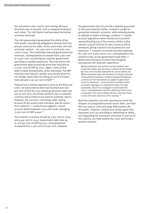the sub-prime crisis, had to start writing off loans they were due to be paid, and so stopped lending to each other. The Irish banks had borrowed recklessly and were bankrupt.

The Irish government guaranteed the debts of the Irish banks, transferring obligations directly from the private sector to the state. At the same time, the Irish economy crashed – by 3 per cent in 2008 and 7 per cent in 2009. This drastically reduced government tax revenues. Unemployment increased from 5 per cent to 15 per cent, increasing the need for government spending on welfare payments. This has led to Irish government debt increasing more than four-fold to 113 per cent of GDP by 2012. Again, some of this debt is owed domestically, some externally. The IMF estimate that Ireland's (public and private sector's) net foreign owed debt (so taking account of assets held abroad) is 90 per cent of GDP.<sup>129</sup>

Iceland had a similar experience prior to the financial crisis. Its total external debt had reached over 600 per cent of GDP by 2007, whilst government debt was just 30 per cent; two-thirds of which was in Icelandic currency and so likely to be owed to Icelandic savers. However, the country's net foreign debt, taking account of any assets held overseas, was far worse than Ireland's.130 Iceland had a gigantic current account deficit between 2005 and 2008, averaging 21 per cent of GDP a year.<sup>131</sup>

The Icelandic economy shrank by 7 per cent in 2009 and 4 per cent in 2010. Government debt shot up to 100 per cent of GDP by 2011. Unemployment increased from 2 per cent to 8 per cent. However,

the government did not provide a blanket guarantee to the bust Icelandic banks. Instead it sought to guarantee domestic accounts, while allowing banks to default on debts to foreign creditors.<sup>132</sup> Capital account regulations were introduced to prevent money flooding out of the country, whilst unlike Ireland, Iceland still has its own currency, which devalued, giving a boost to local producers and exporters.133 Iceland's economy has been growing by 3 per cent a year since 2011, unemployment has started to fall, as has government total debt.<sup>134</sup> Nobel prize wining economist Paul Krugman summarises the Icelandic experience:

Where everyone else bailed out the bankers and made the public pay the price, Iceland let the banks go bust and actually expanded its social safety net. Where everyone else was fixated on trying to placate international investors, Iceland imposed temporary controls on the movement of capital to give itself room to maneuver …Iceland hasn't avoided major economic damage or a significant drop in living standards. But it has managed to limit both the rise in unemployment and the suffering of the most vulnerable; the social safety net has survived intact, as has the basic decency of its society.<sup>135</sup>

Both the Icelandic and Irish experiences show the dangers of unregulated private sector debt, and how this can lead to crisis and large debt burdens for the public. However, Iceland also shows again that measures such as cancelling or defaulting on debts, and regulating the movement of money in and out of the country, can help resolve the crisis and bring a quicker recovery.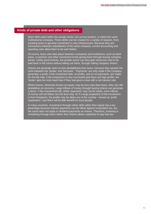## **Kinds of private debt and other obligations**

Much debt owed within the private sector, but across borders, is within the same multinational company. These debts can be created for a variety of reasons, from avoiding taxes to genuine investment in new infrastructure. Because they are transactions between subsidiaries of the same company, current accounting and reporting rules allow them to be well hidden.

Of course, loans also take place between companies and institutions, such as bank loans, or pension and other investment funds giving loans through buying company bonds. Unlike governments, the private sector can also gain resources now to be paid back in the future without taking out loans, through selling company shares.

Shares are generally seen as less destabilising than loans, because they spread risk more between the 'lender' and 'borrower'. 'Payments' are only made if the company generates a profit. If the investment fails, no profits, and so no payments, are made. On the flip side, if the investment is very successful and there are high profits, the 'lender' gets far more back than if they had given a loan with a set interest rate.

Whilst shares, otherwise known as equity, may be less risky than loans, they can still destabilise an economy. Large inflows of money through buying shares can generate a boom. If the investments fail, whilst 'payments' may not be made, more inflows of money will not follow, but the bust may. Or if a large proportion of the investment is from foreigners, the profits may be taken out of the country – known as 'profit repatriation', and there will be little benefit for local people.

In many countries, investment through riskier debt rather than equity has a tax advantage because interest payments can be offset against corporation tax, but the same does not apply to dividend payments on shares. Therefore, investing in something through loans rather than shares allows capitalists to pay less tax.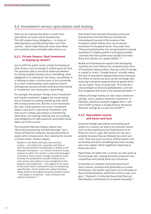## **5.2 Investment versus speculation and looting**

Debt can be unproductive when it comes from speculation on assets which already exist. This still creates future obligations – in terms of debt payments or profits being taken out of the country – which make financial crises more likely and countries more vulnerable when they occur.

#### **5.2.1 Private finance: Real investment or buying-up assets?**

Just as with the public sector, private borrowing (or other finance such as equity) is neither good nor bad. The questions which should be asked are whether it is being usefully invested, who is benefiting, what obligations it is creating for the future, and whether it is helping to make a country more or less vulnerable to a crisis? Unfortunately, much political rhetoric ideologically assumes private lending and borrowing is 'investment' and necessarily a 'good thing'.

For example, the phrases 'Foreign direct investment' and 'equity investment' suggest the money being lent or invested is creating something new, which will increase production. But this is not necessarily the case. A key question over much 'investment' today is how much is genuinely investment, and how much is simply speculation or transferring ownership, not creating anything real, but creating new obligations for debt payments and profits being taken out of the country.

The economist Michael Hudson argues that "financial manoeuvring and debt leverage" are a means of financial conquest, buying ownership of assets which already exist, then claiming the income on those assets. Hudson argues:

Bankers in the North look upon any economic surplus – real estate rent, corporate cash flow or even the government's taxing power or ability to sell off public enterprises – as a source of revenue to pay interest on debts. The result is a more debt-leveraged economy in every country. Foreign investment, bank lending, the privatization of public infrastructure and currency speculation is now managed from this bankers'-eye perspective … The tragedy of our epoch is that most credit is extended to buy rent-extracting opportunities, not for productive capital formation. Banks prefer to lend against property already in place – real estate or companies – than to finance new capital investment.<sup>136</sup>

Dani Rodrik from Harvard University and Arvind Subramanian from the Peterson Institute for International Economics find evidence that increased capital inflows have not increased investment in the global South. They state that: "Financial globalisation has not generated increased investment or higher growth in emerging markets. Countries that have grown most rapidly have been those that rely less on capital inflows."137

Rodrik and Subramanian explain that developing countries are more likely to be constrained by a lack of investment opportunities, than by a lack of savings or capital to invest. 'Foreign finance' actually makes this lack of investment opportunities worse because the inflow of money can push up the exchange rate, reducing investment opportunities for goods which can be traded. They conclude that: "It is time for a new paradigm on financial globalization, and one that recognizes that more is not necessarily better." $138$ 

Inflows of foreign money can also reduce domestic savings, and so weaken domestic investment. In Pakistan, statistical analyses suggest that a 1 per cent of GDP increase in foreign finance decreases domestic savings by 0.8 per cent of GDP.<sup>139</sup>

## **5.2.2 Speculative money and boom and bust**

Excessive foreign speculation and buying up of assets in a country can lead to an economic boom, such as that experienced by Thailand prior to its financial crisis in 1996. But booms are not just a problem because they are followed by a bust and crisis. They also push up prices of fixed assets such as housing and land; benefiting those who already own such capital, whilst negatively impacting on those who don't.

Rapid flows of capital into a country can also push up the exchange rate, making domestic producers less competitive and putting them out of business.

Economists at Columbia University have found that in eleven countries with good data on income distribution, the middle class loses out in the wake of financial liberalisation, whilst the richest 20 per cent gain.140 Research in India has found that financial liberalisation contributed to increased inequality.141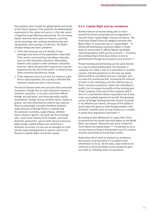One problem seen in both the global North and South is the 'Dutch disease'; first noted for the Netherlands' experience in the 1960s and 1970s. In the late 1950s a large Dutch gas field was discovered. The increased export revenues were spent on imports, pushing up the exchange rate, making manufacturing less competitive, and causing it to decline. The Dutch Disease brings two main problems:

- 1. if the new revenues are not shared, it may privilege only some of the population, especially if the sector concerned has low labour intensity, such as with extractive industries. Meanwhile, workers and capital in other domestic industries lose out, either because their exports are now too expensive for the rest of the world, or imports from other countries become too cheap.
- 2. if the revenues come to an end, for instance a gas field is fully exploited, the country is left with few domestic producers and a crisis ensues.

The Dutch Disease does not just arise from extractive industries, though this is a very important issues in Southern countries. It can also come from official foreign aid and loans, and more generally capital movements. Foreign money, whether loans, equity or grants, can only ultimately be used to buy imports. There is potentially a tension therefore between large amounts of foreign finance undermining the domestic economy. Large inflows, whether loans, equity or grants, can push up the exchange rate, cause more imports to be bought, and harm domestic production. Just as with natural resources, large foreign capital inflows can undermine a domestic economy. A crisis can be brought on if the money stops being granted or loaned, and/or the finance is rapidly taken out of the country.

## **5.2.3 Capital flight and tax avoidance**

Another feature of money being able to move around the world unreported and unregulated is how this fuels 'capital flight' and tax avoidance. The think tank Global Financial Integrity estimate that \$900 billion in 2009 was lost in 'capital flight' – it illicitly left developing countries hidden in trade deals or unrecorded in official figures (probably indicating bribery, theft and tax evasion).142 Christian Aid estimate that of this \$160 billion is lost to governments through tax avoidance and evasion.143

Private lending and borrowing can be used directly as a way to avoid paying taxes. For example, a company can make a loan to a subsidiary in another country. Interest payments on the loan are made before profit is calculated and tax is charged, and so leave the country tax free. Increasing the amount of loans to the subsidiary, and the interest rate on them, increases payments, lowers the subsidiary's profits, but increases the profits of the lending part of the company. If the part of the company which lent is in a jurisdiction where corporation tax is less, it has successfully lowered its tax bill. One growing source of foreign lending into low income countries is via offshore tax havens, because of the ability to avoid taxes this gives to both foreign lenders, and domestic investors who use tax havens as a conduit to avoid local regulations and taxes.<sup>144</sup>

According to John Williamson in 1999, then Chief Economist for the South East Asia region at the World Bank, tax evasion "becomes ever more critical the more liberal are capital flows."<sup>145</sup> To attempt to try to recover taxes on finance being taken out of a country requires authorities to know that it exists.

Authorities which want to prevent tax avoidance, tax evasion, and proceeds of corruption need information to do so. At the least, data needs to be collected on financial flows across borders to give any hope to clamping down on avoidance.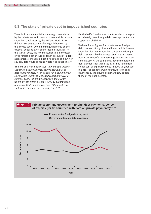# **5.3 The state of private debt in impoverished countries**

There is little data available on foreign owed debts by the private sector in low and lower middle income countries. Until recently, the IMF and World Bank did not take any account of foreign debt owed by the private sector when making judgements on the external debt situation of low income countries. At the start of 2012, the two institutions said privately owed foreign debt should be taken account of in debt assessments, though did not give details on how, nor say how data would be found where it does not exist.<sup>146</sup>

 The IMF and World Bank say: "In many Low Income Countries, private external debt is negligible, or data is unavailable."<sup>147</sup> They add: "In a sample of 70 Low Income Countries, only half report any private external debt ... There are, however, some cases where private external debt is already substantial in relation to GDP, and one can expect the number of such cases to rise in the coming years."<sup>148</sup>

For the half of low income countries which do report on privately owed foreign debt, average debt is over 15 per cent of GDP.149

We have found figures for private sector foreign debt payments for 32 low and lower middle income countries. For these countries, the average foreign debt payments by the private sector has increased from 4 per cent of export earnings in 2000 to 10 per cent in 2010. At the same time, government foreign debt payments for these countries has fallen from 10 per cent of export revenues in 2000 to 5 per cent in 2010. For countries with figures, foreign debt payments by the private sector are now double those of the public sector.

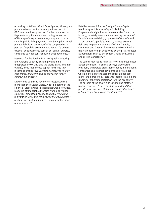According to IMF and World Bank figures, Nicaragua's private external debt is currently 48 per cent of GDP, compared to 45 per cent for the public sector. Payments on private debt are costing 10 per cent of Nicaragua's export revenues, compared to 2 per cent for public debt payments.152 In Senegal, external private debt is 22 per cent of GDP, compared to 31 per cent for public external debt. Senegal's private external debt payments cost 13 per cent of exports, compared to 7 per cent for public debt payments.153

Research for the Foreign Private Capital Monitoring and Analysis Capacity Building Programme (supported by UK DfID and the World Bank, amongst others), finds that private capital flows into low income countries "are very large compared to their economies, and as volatile as they are in larger emerging markets". 154

Low income countries have often recognised this more than the outside world. A 2012 meeting of the Financial Stability Board's Regional Group for Africa, made-up of financial authorities from nine African countries, discussed "policy options for reducing the volatility of capital inflows and the development of domestic capital markets" as an alternative source of investment.155

Detailed research for the Foreign Private Capital Monitoring and Analysis Capacity Building Programme in eight low income countries found that in 2007, privately owed debt made up 75 per cent of Zambia's external debt, 50 per cent of Ghana's and 40 per cent of Uganda's. In total, private external debt was 20 per cent or more of GDP in Zambia, Cameroon and Ghana.156 However, the World Bank's figures report foreign debt owed by the private sector as being less than 10 per cent in Ghana and Zambia, and zero in Cameroon.157

The same study found financial flows underestimated across the board. In Ghana, surveys discovered previously unreported profits taken out by multinational companies and interest payments on private debt which led to a current account deficit 22 per cent higher than predicted. There was therefore also more lending or other financial flows into the economy.<sup>158</sup> The authors of the study, Nils Bindha and Matthew Martin, conclude: "The crisis has underlined that private flows are not a stable and predictable source of finance [for low income countries]."159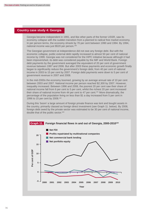## **Country case study 4: Georgia**

Georgia became independent in 1991, and like other parts of the former USSR, saw its economy collapse with the sudden transition from a planned to radical free market economy. In per person terms, the economy shrank by 70 per cent between 1990 and 1994. By 1994, national income was just \$520 per person.160

The Georgian government at independence did not owe any foreign debt. But with the economic collapse, public external debt rapidly increased to almost 50 per cent of national income by 1999. Georgia was not considered for the HIPC initiative because although it had been impoverished, its debt was considered payable by the IMF and World Bank. Foreign debt payments by the government averaged the equivalent of 20 per cent of government revenue between 1997 and 2006. But after 2003 these payments and economic growth finally began to significantly reduce the government's foreign debt, from 40 per cent of national income in 2003 to 15 per cent by 2007. Foreign debt payments were down to 5 per cent of government revenue in 2007 and 2008.

In the mid-2000s the economy boomed, growing by an average annual rate of 10 per cent between 2003 and 2007. National income per person reached \$2,300 by 2007. However, inequality increased. Between 1996 and 2008, the poorest 20 per cent saw their share of national income fall from 6 per cent to 5 per cent, whilst the richest 20 per cent increased their share of national income from 44 per cent to 47 per cent.161 More dramatically, the percentage of the population living on less than \$1 a day increased from 5 per cent in 1996 to 15 per cent by 2008.162

During this 'boom' a large amount of foreign private finance was lent and bought assets in the country, primarily classed as foreign direct investment (see Graph 11. below). By 2008, foreign debt owed by the private sector was estimated to be 30 per cent of national income, double that of the public sector.163

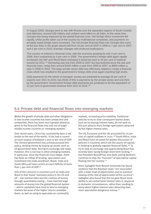In August 2008, Georgia went to war with Russia over the separatist regions of South Ossetia and Abkhazia. Around 500 military and civilians were killed on all sides. At the same time, Georgia was being impacted by the global financial crisis. Net foreign direct investment fell rapidly, whilst profits taken out of the country by multinational companies, and payments on privately owed foreign loans increased. The net private financial flows into Georgia (the sums of the four lines in the graph above) fell from 16 per cent of GDP in 2006 to 7 per cent in 2007, and 2 per cent in 2010; dramatic changes with profound implications.

The country re-entered a financial crisis, with the economy growing by only 2 per cent in 2008, then contracting by 4 per cent in 2009. The government's foreign debt again rapidly increased; the IMF and World Bank estimated it would be back to 43 per cent of national income by 2011.165 Borrowing was low from 2000 to 2007 but has boomed since the war and financial crisis, rising from around \$100 million a year from 2000 to 2007, to \$900 million a year in 2008 to 2010. The large private sector debt has effectively helped to create a financial crisis which has resulted in the government's foreign debt once again reaching high levels.

Debt payments for the whole of Georgian society are predicted to average 26 per cent of exports over 2011 to 2015; two-thirds of this is payments by the private sector and one-third by the government. Government foreign debt payments are predicted to be the equivalent of 12 per cent of government revenue from 2011 to 2015.166

# **5.4 Private debt and financial flows into emerging markets**

Whilst the growth of private debt and other obligations in low income countries has been unwatched and unreported, there has been much greater attention given to the financial flows into and out of larger middle income countries or 'emerging markets'.

Over recent years, China has consistently been a net lender to the rest of the world; it has had a current account surplus of between 5 and 10 per cent of GDP. The Chinese government has actively pursued this policy, lending money by buying up assets such as US government debt, forcing its exchange rate down. However, this is not true in other emerging markets. In particular, since the financial crisis began, there has been an inflow of lending, speculation and investment into India and Brazil. Brazil, India and South Africa all have current account deficits of more than 3 per cent of GDP.<sup>167</sup>

One of the concerns in countries such as India and Brazil is that 'loose' monetary policy in the US and UK – low interest rates and the creation of money through quantitative easing – have injected large amounts of money into the global financial system – which capitalists have tried to lend to emerging markets because of the higher returns available there, as well as using to speculate on commodity

markets, increasing price volatility. Traditional policies to try to slow consequent booms down, such as increasing interest rates, do not work as this just attracts more foreign speculators attracted by the higher interest rates.

The US, Eurozone and the UK accounted for 70 per cent of capital outflows in 2010.168 South Africa, India and Brazil have all asked for greater discussion of policies in countries which are the source of capital, in helping to globally regulate financial flows.<sup>169</sup> To try to stop its exchange rate appreciating Brazil has recently been taxing foreign short-term lending,170 but President Rouseff has also been asking Northern countries to stop the "tsunami" of speculative capital flowing into her country.171

Kevin Gallagher from Boston University has found evidence that the Brazilian taxes "are associated with a lower level of appreciation and an eventual slowing of the rate of appreciation of the currency". Gallagher also found that the tax gave Brazil more ability to set central bank interest rates in response to domestic circumstances, rather than needing to worry about higher interest rates attracting even more speculative dangerous money.<sup>172</sup>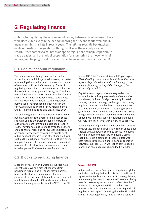# **6. Regulating finance**

Options for regulating the movement of money between countries exist. They were used extensively in the period following the Second World War, and in many emerging markets in recent years. The IMF has recently backtracked on its opposition to regulations, though still sees them solely as a last resort. Other barriers to countries adopting regulations remain, especially in trade treaties, and the lack of cooperation for monitoring the movements of money, and helping to enforce controls, in financial centres such as the UK.

## **6.1 Capital account regulation**

The capital account is any financial transaction across borders which buys or sells assets, or creates future obligations such as debt payments or transfer of company profits out of the country. Forms of regulating the capital account were standard across the world from the 1940s until the 1970s. They have mostly been removed in western economies. Countries such as China have continued to use regulations. Notable examples of capital account regulations being used or reintroduced include Chile in the 1990s, Malaysia during the 1990s Asian Financial Crisis, Iceland since 2008 and Brazil since 2009.

The aim of regulations on financial inflows is to stop booms, exchange rate appreciation, asset prices shooting-up and the Dutch Disease. Controls on outflows are most common in a crisis to prevent a crash. They may also be useful to try to tackle more ongoing capital flight and tax avoidance. Regulations on capital transactions can apply to private debt, public debt or both, as well as other financial flows such as the purchase of shares. Like putting a speed bump in the road, the aim of regulations on capital movements is to slow them down and make them less dangerous. Professor Carmen Reinhart and

# **6.2 Blocks to regulating finance**

Since the 1970s, powerful western countries have sought to remove and prevent countries from bringing in regulations on money moving across borders. This has led to a range of blocks on countries bringing in regulations, from international institutions such as the IMF, and multilateral and bilateral trade agreements; from the WTO to the EU.

former IMF Chief Economist Kenneth Rogoff argue: "Periods of high international capital mobility have repeatedly produced international banking crises, not only famously, as they did in the 1990s, but historically as well."173

Capital account regulations are very varied, but include limits on foreign ownership of companies and shares, limits on foreign ownership in certain sectors, controls on foreign exchange transactions, requiring investors and lenders to deposit money at a central bank at no interest, requiring buyers of government bonds to be domestic residents, taxing foreign loans or limiting foreign currency derivatives issued by local banks. Which regulations are used will vary in terms of what they are trying to achieve.

Regulating lending and borrowing between countries involves lots of specific policies to rein-in speculative capital, whilst allowing countries access to lending which is genuinely necessary and useful. Using such policies is a pragmatic process, but to work best requires information sharing and cooperation between countries. Below we look at some specific blocks and challenges which need to be tackled.

#### **6.2.1 The IMF**

At its creation, the IMF was part of a system of global capital account regulation. To this day, its articles of agreement not only allow countries to use regulations, but even require them to prevent IMF resources being used "to meet a large or sustained outflow of capital". 174 However, in the 1990s the IMF pushed for new powers to force all its member countries to get rid of regulations on capital. Following the Asian Financial Crisis, this was rejected by middle income countries.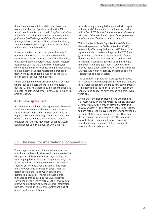Since the most recent financial crisis, there has been some change of position within the IMF. A staff position note in 2010 said "capital controls – in addition to both prudential and macroeconomic policy – is justified as part of the policy toolkit to manage inflows. "<sup>175</sup> The IMF has 'allowed' Iceland. Latvia and Ukraine to bring in controls on outflows to help with their debt crises.

However, the Fund's proposed policy framework put forward in February 2011 only recommends controls as a last resort option once all other policy tools have been exhausted.176 It is thought western economies such as the US and UK in particular were opposed to the IMF policy going further, whilst middle income countries rejected the proposed framework due to concerns over giving the IMF a role in capital account regulations.

Larger emerging markets are currently in a position where they can ignore the IMF's 'policy advice'. But the IMF still has a large say in economic policies in debtor countries, whether in Africa, Latin America, Asia or Europe.

## **6.2.2 Trade agreements**

Bilateral trade and investment agreements between countries often rule out the use of regulations on capital. These are treaties between two states or regional economic groupings. There are thousands of such treaties in place, many of which contain provisions for the free movement of capital. Kevin Gallagher has said that a reason why Brazil has

recently brought in regulations to deal with capital inflows, and Chile and Colombia have not, is that unlike Brazil "Chile and Colombia have trade treaties with the US that require all capital flowing between borders moves 'freely and without delay'."177

Within the World Trade Organisation (WTO), the General Agreement on Trade in Services (GATS) potentially affects regulations too. GATS is a trade agreement which makes it illegal at the WTO for a government to introduce measures which favour domestic producers or investors in services, over foreigners. If countries have made commitments under GATS to liberalise financial services, then it may be illegal under WTO rules for them to introduce any measure which negatively impacts on foreign capital over domestic capital.

The current GATS provisions were agreed in 1994. Rich countries have been pushing for the last decade for developing countries to make new commitments  $-$  including since the financial crisis<sup>178</sup> - though the negotiations appear to have ground to a halt several years ago.

Article 63 of the Lisbon Treaty of the EU prohibits "all restrictions on the movement of capital between Member States and between Member States and third countries". 179 This makes it illegal under EU law to both regulate the movement of money between EU member states, but also requires that EU members do not regulate transactions with other countries as well. This in theory blocks any EU countries introducing any form of regulation on capital movements across borders.

# **6.3 The need for international cooperation**

Whilst regulations on capital movements can be introduced unilaterally, they would be more effective with greater global coordination. By-passing and avoiding regulations is easier if regulators only have access to information in the source or destination country, but not both. Policing regulations most effectively requires information about financial holdings to be shared between source and destination countries.180 Even if governments in source countries such as the UK are not yet convinced of the need to regulate their own capital inflows and outflows, they could share information with other authorities to enable better policing of other countries regulations.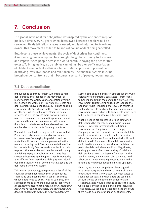# **7. Conclusion**

The global movement for debt justice was inspired by the ancient concept of jubilee, a time every 50 years when debts owed between people would be cancelled, fields left fallow, slaves released, and land returned to its original owner. This movement has led to billions of dollars of debt being cancelled.

But, despite these achievements, the cycle of debt crises has continued. A self-serving financial system has brought the global economy to its knees and impoverished people across the world continue paying the price for this excess. To bring justice, a true jubilee cannot just be a one-off cancellation of old debt – important as this is – but a continual process to prevent debt destroying lives, livelihoods and relationships. The financial system must be brought under control, so that it becomes a servant of people, not our master.

## **7.1 Debt cancellation**

Impoverished countries remain vulnerable to high debt burdens and changes in the movement of money across the world. Debt cancellation over the last decade has worked on its own terms. Debts and debt payments have been reduced. This has enabled governments to spend more of their own resources on other activities, such as investment in public services, as well as access more borrowing again. Moreover, increases in commodity prices, economic growth and transfer of economic activities from the public to private sector have also reduced the relative size of public debts for many countries.

When debts are too high they need to be cancelled. People across Latin America and Africa suffered for many years from paying huge debts, and the austerity policies which were implemented in the name of reducing debt. The debt cancellation of the last decade finally freed several countries from this trap. Yet other countries and peoples are still trying and failing to pay a debt burden which was first created thirty years ago. People across Europe today are suffering from austerity as debt payments flood out of the country, whilst economies collapse and the debt remains or grows worse.

This report has not sought to produce a list of all the countries which should have their debt reduced. There is no one measure which can list countries whose debts need to be cut. Having said this, one suggestion made by Michael Hudson is that "When an economy is able to pay debts simply by borrowing new money or selling off assets, the debts should be deemed to have gone bad and be written down."181

Some debts should be written-off because they were odiously or illegitimately contracted – from loans to General Mobutu in the Congo, to a previous Irish government guaranteeing all reckless loans to the bankrupt Anglo-Irish Bank. Moreover, as countries such as Greece, Ireland and Portugal demonstrate, governments can end up with large debts which need to be reduced in countries at all income levels.

What is needed are processes for deciding when debts should be cancelled, and powers to make lenders – whether international institutions, governments or the private sector – comply. Campaigners across the world have advocated debt audits; a process which would publicly examine where the debt comes from to find out who did and did not benefit from loans. The public examination could lead to democratic cancellation or default on particular debts which were odious, illegitimate, or simply a result of reckless lending. Crucially, a debt audit can learn the lessons from past lending and borrowing, and empower civil society to hold a borrowing government to greater account in the future, and help prevent debts building-up again.

For many years debt campaigners have argued for a debt court; a fair and transparent arbitration mechanism to effectively allow sovereign states to seek debt cancellation when debts are too high. A court should be independent of debtors and creditors. States would be free to apply to the court, which hears evidence from participants including civil society. As soon as a state applies to the court, there would be a moratorium on debt payments.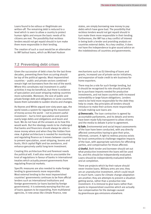Loans found to be odious or illegitimate are written-off. The remaining debt is reduced to a level which is seen to allow a country to protect human rights and ensure the basic needs of its citizens are met. The possibility that reckless lenders would not get repaid should in turn make them more responsible in their lending.

The creation of such a court would be an alternative to IMF bailout loans, which as Michael Hudson

# **7.2 Preventing debt crises**

Given the succession of debt crises for the last three decades, preventing them from occurring should be top of the political agenda. Most impoverished countries – public and private sectors combined – remain high net borrowers from the rest of the world. Where this constitutes real investment in useful activities it may be beneficial, but there is evidence of speculation and asset stripping making countries more vulnerable. Moreover, the size of public and private foreign debt and obligations in some countries leaves them vulnerable to sudden shocks and changes.

As Keynes and White argued over sixty years ago, the world needs a system for regulating the movement of money across the world – not to prevent useful investment – but to limit speculation and prevent overly large debts and obligations and boom and bust. We do not have all the answers as to how this would work. But the ideology needs to be challenged that banks and financiers should always be able to move money where and when they like hidden from view. A global architecture is needed for monitoring and regulating finance as it moves between countries to prevent speculation, asset stripping, booms and busts, illicit capital flight and tax avoidance, and enhance genuinely useful long-term investment.

Creating this architecture first and foremost needs the political will. It will also need to unscramble the knot of regulations in favour of banks in international treaties which actually prevent governments from regulating financial markets.

Specific measures are also needed to make foreign lending to governments more responsible. Most external lending to the most impoverished countries' governments continues to be from official lenders such as international institutions and foreign governments (or loans backed by foreign governments). It is extremely worrying that the use of loans appears to be expanding, from multilateral agencies, in new areas like climate finance, new

states, are simply borrowing new money to pay debts which have gone bad. The possibility that reckless lenders would not get repaid should in turn make them more responsible in their lending. Furthermore, the IMF has a key conflict of interest in being both a lender and providing analysis on countries external debts. As a key creditor, it does not have the independence to give sound advice on the indebtedness of countries and governments.

mechanisms such as EU blending of loans and grants, increased use of private sector initiatives, and expansion of trade credit to win business for home exporters.

There may be a role for such foreign lending, but it should be recognised its role should primarily be to purchase imports needed for productive investments, and not leave countries with increased vulnerability or large future obligations. Lenders need to be held more responsible for the debt they help to create. Key principles all lenders should introduce to make their actions more responsible include making sure loans are:

**a) Democratic.** The loan contraction is agreed by accountable parliaments, and its details and terms have been made fully transparent to allow citizens and the media to debate it prior to agreement.

**b) Safe.** Environmental and social impact assessments of the loan have been conducted, with any directly affected communities having to give their prior, informed, consent. A right to redress process exists for local communities to challenge negative impacts of the loan, with appropriate sanctions for offending parties, and compensation for those affected.

**c) Useful.** Both lender and borrower should set out what productive investment the loans will be used for, and this should be independently evaluated. Loans should be independently evaluated before and at completion.

There are projects which by their nature should never involve loans. Military arms are one; they are an unproductive investment, which could result in much harm. Loans for climate change adaptation are another; they are attempts to prevent a situation getting worse, rather than a productive new investment. It is immoral to give loans rather than grants to impoverished countries which are actually due compensation for the damage caused by greenhouse gas emissions elsewhere.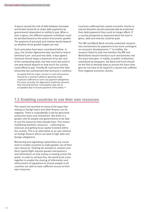A way to spread the risk of debt between borrower and lender would be to make debt payments by governments dependent on ability to pay. When a loan is given, the different payment schedules could be decided based on the extent of economic growth. The payment of principal and interest would depend on whether these growth targets are met.

Such principles have been considered before. In 1953, the London Agreement was reached to reduce Germany's pre- and post-war debt. It was agreed Germany should repay a maximum of 50 per cent of the outstanding debt, but how much was paid in one year would depend on how much the country could afford to pay. Timothy W. Guinnane from Yale University has summarised that Germany's creditors:

accepted that the major concern in such discussions should be a country's ability to generate trade surpluses sufficient to cover any payment obligations. Put more cynically, the Agreement implicitly assumes that reducing German consumption was not an acceptable way to ensure payment of the debts.<sup>182</sup>

Countries suffering from severe economic shocks or natural disasters would automatically be protected from debt payments they could no longer afford. If a country prospered as expected when the loan is given, debt and interest could be paid.

The IMF and World Bank recently undertook research into mechanisms for payments to be more contingent on economic developments.183 Incredibly, the research failed to look into whether the IMF and World Bank should introduce such mechanisms into the loans they give. In reality, as public institutions subsidised by taxpayers, the Bank and Fund should be the first to develop ways to ensure the loans they give do not have to be repaid if a country has suffered from negative economic shocks.

# **7.3 Enabling countries to use their own resources**

This report has touched on many of the ways that relying on foreign loans and other finance can be negative. There is undoubtedly a role for genuinely productive loans and investment. But there is a greater role for people and governments to be able to use the resources they already have. This means mobilising domestic resources – collecting tax revenues and getting local capital invested within the country. This is an alternative to an over reliance on foreign finance which can lead to high debt and foreign obligations.

Monitoring and regulating capital flows are crucial tools to enable countries to make greater use of their own resources. Tackling tax avoidance, evasion and illicit capital flight requires greater transparency and information on how money is moving across the world. In order to achieve this, the world must come together to enable the sharing of information and enforcement of regulations to ensure people in all countries are able to have sufficient access to their own resources.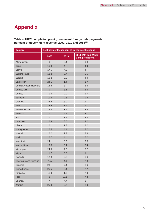# **Appendix**

**Table 4. HIPC completion point government foreign debt payments, per cent of government revenue, 2000, 2010 and 2014184**

| <b>Country</b>           | Debt payments, per cent of government revenue |                |                                                 |
|--------------------------|-----------------------------------------------|----------------|-------------------------------------------------|
|                          | 2000                                          | 2010           | 2014 (IMF and World<br><b>Bank predictions)</b> |
| Afghanistan              | $\overline{0}$                                | 0.4            | 1.8                                             |
| <b>Benin</b>             | 16.3                                          | $\overline{4}$ | 4.4                                             |
| <b>Bolivia</b>           | 17.5                                          | 4.6            | $\overline{4}$                                  |
| <b>Burkina Faso</b>      | 13.2                                          | 5.7            | 5.5                                             |
| <b>Burundi</b>           | 10.2                                          | 0.9            | 4.9                                             |
| Cameroon                 | 24.1                                          | 1.4            | 1.7                                             |
| Central African Republic | 13.8                                          | 3              | 8.6                                             |
| Congo, DR                | $\mathsf{O}\xspace$                           | 8.5            | 3.5                                             |
| Congo, R                 | 1.5                                           | 2.9            | 1.7                                             |
| Ethiopia                 | 11.6                                          | 2.8            | 9.6                                             |
| Gambia                   | 33.3                                          | 13.9           | 12                                              |
| Ghana                    | 32.9                                          | 8.9            | 6.7                                             |
| Guinea-Bissau            | 13.2                                          | 3.1            | 8.8                                             |
| Guyana                   | 20.1                                          | 5.7            | 8.7                                             |
| Haiti                    | 11.1                                          | 1.7            | 2.3                                             |
| Honduras                 | 12.3                                          | 3.6            | 4.2                                             |
| Liberia                  | $\mathsf{O}\xspace$                           | 1.3            | 2.2                                             |
| Madagascar               | 22.5                                          | 4.1            | 3.2                                             |
| Malawi                   | 12.2                                          | 2.2            | 3.8                                             |
| Mali                     | 20.7                                          | $\overline{4}$ | 5.2                                             |
| Mauritania               | 24                                            | 8.9            | 9.6                                             |
| Mozambique               | 9.6                                           | 3.4            | 8.4                                             |
| Nicaragua                | 24.9                                          | 7.5            | 8.2                                             |
| Niger                    | 11.2                                          | 3.8            | 11                                              |
| Rwanda                   | 12.8                                          | 2.8            | 6.6                                             |
| Sao Tome and Principe    | N/A                                           | 4.1            | 7.3                                             |
| Senegal                  | 23                                            | 7.4            | 8.6                                             |
| Sierra Leone             | 25.5                                          | 6.4            | 7.7                                             |
| Tanzania                 | 11.9                                          | 1.3            | 7.9                                             |
| <b>Togo</b>              | 8                                             | 10.1           | 7.4                                             |
| Uganda                   | $\overline{7}$                                | 4.7            | 3                                               |
| Zambia                   | 25.3                                          | 2.7            | 2.9                                             |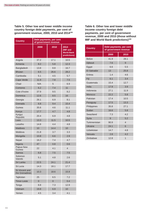**Table 5. Other low and lower middle income country foreign debt payments, per cent of government revenue, 2000, 2010 and 2014185**

| <b>Country</b>                   | Debt payments, per cent<br>of government revenue |                     |                                                       |  |
|----------------------------------|--------------------------------------------------|---------------------|-------------------------------------------------------|--|
|                                  | 2000                                             | 2010                | 2014<br>(IMF and<br><b>World Bank</b><br>predictions) |  |
| Angola                           | 37.2                                             | 17.1                | 10.5                                                  |  |
| Armenia                          | 8.2                                              | 5.8                 | 12.3                                                  |  |
| Bangladesh                       | 13.8                                             | 8.8                 | 16.7                                                  |  |
| <b>Bhutan</b>                    | 6.5                                              | 26.6                | 28.2                                                  |  |
| Cambodia                         | 5.1                                              | 4.5                 | 5.7                                                   |  |
| Cape Verde                       | 11.9                                             | 7.8                 | 7.5                                                   |  |
| Chad                             | N/A                                              | 5                   | 6.9                                                   |  |
| Comoros                          | 6.2                                              | 7.4                 | 11                                                    |  |
| Cote d'Ivoire                    | 37.9                                             | 9.5                 | 8.2                                                   |  |
| Dominica                         | 12.6                                             | 8.5                 | 16                                                    |  |
| Georgia                          | 26.1                                             | 6.9                 | 8.1                                                   |  |
| Grenada                          | 6.8                                              | 9.4                 | 15.4                                                  |  |
| Guinea                           | 35.6                                             | 4.6                 | 11.1                                                  |  |
| Kenya                            | 17.7                                             | 4.7                 | 4.8                                                   |  |
| Kyrgyz<br>Republic               | 20.4                                             | 6.9                 | 4.8                                                   |  |
| Laos                             | 13.3                                             | 11.5                | 10.5                                                  |  |
| Lesotho                          | 14.8                                             | 4.4                 | 4.8                                                   |  |
| <b>Maldives</b>                  | 10                                               | 14.4                | 10                                                    |  |
| Moldova                          | 21.8                                             | 3.7                 | 3.3                                                   |  |
| Mongolia                         | 10.8                                             | 6.6                 | 2.9                                                   |  |
| Nepal                            | 16.2                                             | 7.4                 | 4.7                                                   |  |
| Nigeria                          | 47                                               | 0.8                 | 0.6                                                   |  |
| Papua New<br>Guinea              | 22                                               | 4.1                 | $\overline{4}$                                        |  |
| Samoa                            | 6.8                                              | 7.5                 | 7.5                                                   |  |
| Solomon<br>Islands               | 5.1                                              | 4.8                 | 2.6                                                   |  |
| Sri Lanka                        | 22.5                                             | 24.1                | 21.4                                                  |  |
| St Lucia                         | 14.3                                             | 18.1                | 17.7                                                  |  |
| St Vincent and<br>the Grenadines | 10.3                                             | 18.6                | 15.9                                                  |  |
| Tajikistan                       | 25                                               | 6.5                 | 7.2                                                   |  |
| Timor-Leste                      | $\overline{0}$                                   | $\mathsf{O}\xspace$ | 0.4                                                   |  |
| Tonga                            | 8.8                                              | 7.3                 | 12.9                                                  |  |
| Vietnam                          | 19.8                                             | 6.9                 | 10                                                    |  |
| Yemen                            | 4.5                                              | 3.4                 | 4.1                                                   |  |

**Table 6. Other low and lower middle income country foreign debt payments, per cent of government revenue, 2000 and 2010 (those without IMF and World Bank predictions)**<sup>186</sup>

| <b>Country</b> | Debt payments, per cent<br>of government revenue |                |  |
|----------------|--------------------------------------------------|----------------|--|
|                | 2000                                             | 2010           |  |
| <b>Belize</b>  | 41.9                                             | 28.1           |  |
| Djibouti       | 7.6                                              | 9              |  |
| Egypt          | 6.6                                              | 5.5            |  |
| El Salvador    | 13                                               | 25.8           |  |
| <b>Fritrea</b> | 1.4                                              | 4.6            |  |
| Fiji           | 6.1                                              | 3.4            |  |
| Guatemala      | 15.4                                             | 12.7           |  |
| India          | 17.9                                             | 3.9            |  |
| Indonesia      | 27.1                                             | 11.9           |  |
| Morocco        | 22.2                                             | 5.8            |  |
| Pakistan       | 17.4                                             | 10.5           |  |
| Paraguay       | 17.5                                             | 13.3           |  |
| Philippines    | 35.8                                             | 27.1           |  |
| Sudan          | 16.6                                             | 5.8            |  |
| Swaziland      | 7.3                                              | 4.2            |  |
| Syria          | 9                                                | 5.2            |  |
| Turkmenistan   | 90.9                                             | $\overline{4}$ |  |
| Ukraine        | 24.1                                             | 6              |  |
| Uzbekistan     | 14.7                                             | 4.8            |  |
| Vanuatu        | 2.8                                              | 4.2            |  |
| Zimbabwe       | 12.8                                             | $\mathbf{1}$   |  |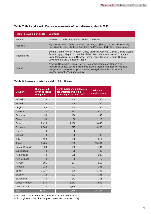| <b>Risk of defaulting on debts</b> | <b>Countries</b>                                                                                                                                                                                                                                                                       |
|------------------------------------|----------------------------------------------------------------------------------------------------------------------------------------------------------------------------------------------------------------------------------------------------------------------------------------|
| In default                         | Comoros, Cote d'Ivoire, Guinea, Sudan, Zimbabwe                                                                                                                                                                                                                                        |
| High risk                          | Afghanistan, Burkina Faso, Burundi, DR Congo, Djibouti, The Gambia, Grenada,<br>Haiti, Kiribati, Laos, Maldives, Sao Tome and Principe, Tajikistan, Tonga, Yemen.                                                                                                                      |
| Moderate risk                      | Bhutan, Central African Republic, Chad, Dominica, Georgia, Ghana, Guinea-Bissau,<br>Guyana, Kyrgyz Republic, Lesotho, Malawi, Mali, Mauritania, Nepal, Nicaragua,<br>Niger, Papua New Guinea, Rwanda, Sierra Leone, Solomon Islands, St Lucia,<br>St Vincent and the Grenadines, Togo. |
| Low risk                           | Armenia, Bangladesh, Benin, Bolivia, Cambodia, Cameroon, Cape Verde,<br>Republic of Congo, Ethiopia, Honduras, Kenya, Liberia, Madagascar, Moldova,<br>Mongolia, Mozambique, Nigeria, Samoa, Senegal, Tanzania, Timor-Leste,<br>Uganda, Vanuatu, Vietnam, Zambia.                      |

## **Table 7. IMF and World Bank assessments of debt distress, March 2012187**

## **Table 8. Loans counted as aid (US\$ million)**

| <b>Country</b>       | <b>Bilateral 'aid'</b><br>given as loans<br>or equity <sup>188</sup> | <b>Contributions to multilateral</b><br>organisations which is<br>ultimately used as loans <sup>189</sup> | <b>Total loans</b><br>counted as aid |
|----------------------|----------------------------------------------------------------------|-----------------------------------------------------------------------------------------------------------|--------------------------------------|
| Australia            | 33                                                                   | 260                                                                                                       | 293                                  |
| Austria              | $6\phantom{1}6$                                                      | 154                                                                                                       | 160                                  |
| <b>Belgium</b>       | 44                                                                   | 139                                                                                                       | 183                                  |
| Canada               | $\overline{0}$                                                       | 475                                                                                                       | 475                                  |
| <b>Denmark</b>       | 39                                                                   | 106                                                                                                       | 145                                  |
| Finland              | 39                                                                   | 80                                                                                                        | 119                                  |
| France               | 2,496                                                                | 1,150                                                                                                     | 3,646                                |
| Germany              | 2,540                                                                | 725                                                                                                       | 3,265                                |
| Greece               | $\overline{0}$                                                       | $\overline{0}$                                                                                            | $\Omega$                             |
| Ireland              | $\overline{0}$                                                       | 32                                                                                                        | 32                                   |
| Italy                | 126                                                                  | 388                                                                                                       | 514                                  |
| Japan                | 8,235                                                                | 2,229                                                                                                     | 10,464                               |
| Korea, Republic      | 359                                                                  | 135                                                                                                       | 494                                  |
| Luxembourg           | $\overline{0}$                                                       | 28                                                                                                        | 28                                   |
| <b>Netherlands</b>   | $\Omega$                                                             | 205                                                                                                       | 205                                  |
| New Zealand          | $\overline{0}$                                                       | 9                                                                                                         | 9                                    |
| Norway               | 105                                                                  | 154                                                                                                       | 259                                  |
| Portugal             | 218                                                                  | 27                                                                                                        | 245                                  |
| Spain                | 1,027                                                                | 276                                                                                                       | 1,303                                |
| Sweden               | 14                                                                   | 272                                                                                                       | 286                                  |
| Switzerland          | 30                                                                   | 241                                                                                                       | 271                                  |
| United Kingdom       | 640                                                                  | 1,263                                                                                                     | 1,903                                |
| <b>United States</b> | $\mathbf 0$                                                          | 1,116                                                                                                     | 1,116                                |
| <b>Total</b>         | 15,951                                                               | 9,446                                                                                                     | 25,397                               |

[NB. Due to lack of information, the OECD figures do not cover aid which is given through the European Investment Bank as loans]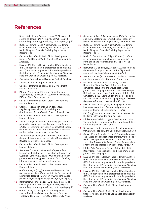# **References**

- 1. Borensztein, E. and Panizza, U. (2008). The costs of sovereign default. IMF Working Paper WP/08/238. www.imf.org/external/pubs/ft/wp/2008/wp08238.pdf
- 2. Bush, O., Farrant, K. and Wright, M. (2011). Reform of the international monetary and financial system. Bank of England Financial Stability Paper No. 13. December 2011.
- 3. Calculated from World Bank. Global development finance. And IMF and World Bank Debt Sustainability Analyses.
- 4. IDA and IMF. (2011). Heavily Indebted Poor Countries (HIPC) Initiative and Multilateral Debt Relief Initiative (MDRI) – Status of Implementation and Proposals for the Future of the HIPC Initiative. International Monetary Fund and World bank. Washington DC. 08/11/11.
- 5. Calculated from IMF. World Economic Outlook Database.
- 6. There is no data for Republic of Congo.
- 7. Calculated from World Bank Global Development Finance database.
- 8. IMF and World Bank. (2012).Revisiting the Debt Sustainability Framework for Low-Income countries. IMF and World Bank. 12/01/12.
- 9. Calculated from World Bank. Global Development Finance database.
- 10. Chowla, P. (2011). Time for a new consensus: Regulating financial flows for stability and development. Bretton Woods Project. December 2011.
- 11. Calculated from World Bank. Global Development Finance database.
- 12. The percentage increase was from 40.5 per cent of the population to 48.3 per cent. Bertola, L. and Ocampo, J.A. (2012). Learning from Latin America: Debt crises, debt rescues and when and why they work. Institute for the study of the Americas. 20/02/12.
- 13. The percentage increase was from 51.5 per cent of the population to 59.4 per cent. World Bank. Global Development Finance database.
- 14. Calculated from World Bank. Global Development Finance database.
- 15. See Jones, T. (2012). Latin America's past offers lessons on debt, but are EU ministers bothered?. The Guardian. London. 24/02/12. www.guardian.co.uk/ global-development/poverty-matters/2012/feb/24/ latin-america-past-lessons-debt-eurozone
- 16. Calculated from World Bank Global Development Finance database.
- 17. Griffith-Jones, S. (1997). Causes and lessons of the Mexican peso crisis. World Institute for Development Economics Research. May 1997. www.wider.unu.edu/ publications/working-papers/previous/en\_GB/wp-132/
- 18. Borensztein, E. and Panizza, U. (2008). The costs of sovereign default. IMF Working Paper WP/08/238. www.imf.org/external/pubs/ft/wp/2008/wp08238.pdf
- 19. Griffith-Jones, S., Ocampo, J.A. and Stiglitz, J.E. (2010). Time for a visible hand: Lessons from the 2008 World Financial Crisis. Oxford University Press.
- 20. Gallagher, K. (2011). Regaining control? Capital controls and the Global Financial Crisis. Political economy research institute. Working Paper 250. February 2011.
- 21. Bush, O., Farrant, K. and Wright, M. (2011). Reform of the international monetary and financial system. Bank of England Financial Stability Paper No. 13. December 2011.
- 22. Bush, O., Farrant, K. and Wright, M. (2011). Reform of the international monetary and financial system. Bank of England Financial Stability Paper No. 13. December 2011.
- 23. Ndikumana, L. and Boyce, J.K. (2011). Africa's odious debts: How foreign loans and capital flight bled a continent. Zed Books. London and New York.
- 24. See Shaxson, N. (2011). Treasure Islands: Tax havens and the men who stole the world. Bodley Head.
- 25. For details on Zimbabwe see Jones, T. (2011). Uncovering Zimbabwe's debt: The case for a democratic solution to the unjust debt burden. Jubilee Debt Campaign. Eurodad. Zimbabwe Europe Network. November 2011. For Sudan see Jubilee Debt Campaign. (2011). South Sudan should not be born into debt. www.jubileedebtcampaign.org.uk/BRIEFIN G373A3720Sudan3727s3720debt+6822.twl
- 26. IMF and World Bank. (2011). Managing volatility in low-income countries: The role and potential for contingent financial instruments. 31/10/11.
- 27. IMF. (1999). Annual report of the Executive Board for the Financial Year ended April 30, 1999.
- 28. Jubilee 2000 Coalition. (1999). Breaking the chains: The new Jubilee 2000 debt cutter's handbook. Jubilee 2000 Coalition and Christian Aid.
- 29. Seager, A. (2008). Tanzania wins £3 million damages from Biwater subsidiary. The Guardian. London. 11/01/08.
- 30. Owusu, K. and Ng'ambi, F. (2002). Structural damage: The causes and consequences of Malawi's food crisis. World Development Movement. London. October 2002. And Dugger, C.W. (2007). Ending famine, simply by ignoring the experts. New York Times. 02/12/07.
- 31. Jubilee Debt Campaign. (2010). Getting into debt: Dodgy loans, reckless finance and Third World Debt. Jubilee Debt Campaign.
- 32. IDA and IMF. (2011). Heavily Indebted Poor Countries (HIPC) Initiative and Multilateral Debt Relief Initiative (MDRI) – Status of Implementation and Proposals for the Future of the HIPC Initiative. International Monetary Fund and World bank. Washington DC. 08/11/11.
- 33. IDA and IMF. (2011). Heavily Indebted Poor Countries (HIPC) Initiative and Multilateral Debt Relief Initiative (MDRI) – Status of Implementation and Proposals for the Future of the HIPC Initiative. International Monetary Fund and World bank. Washington DC. 08/11/11.
- 34. Calculated from World Bank. Global development finance.
- 35. Calculated from World Bank. Global development finance. And IMF and World Bank Debt Sustainability Analyses.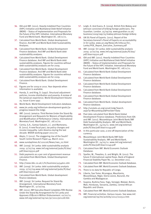- 36. IDA and IMF. (2011). Heavily Indebted Poor Countries (HIPC) Initiative and Multilateral Debt Relief Initiative (MDRI) – Status of Implementation and Proposals for the Future of the HIPC Initiative. International Monetary Fund and World bank. Washington DC. 08/11/11.
- 37. Calculated from World Bank. Global development finance. And IMF and World Bank Debt Sustainability Analyses.
- 38. Calculated from World Bank. Global Development Finance database. And IMF and World Bank debt sustainability analyses.
- 39. Calculated from World Bank. Global Development Finance database. And IMF and World Bank debt sustainability analyses. Figures for countries without debt sustainability analyses are for 2009.
- 40. Calculated from World Bank. Global Development Finance database. And IMF and World Bank debt sustainability analyses. Figures for countries without debt sustainability analyses are for 2009.
- 41. Calculated from World Bank. Global Development Finance.
- 42. Figures are for 2009 or 2010. Year depends when information is available.
- 43. Handa, S. and King, D. (1997). Structural adjustment policies, income distribution and poverty: A review of the Jamaican experience. World Development Volume 25. Issue 6 June 1997.
- 44. World Bank. World Development Indicators database.
- 45. www.jm.undp.org/millenium-development-goals/japrogress-toward-the-mdgs
- 46. IMF. (2010). Jamaica: Third Review Under the Stand-By Arrangement and Requests for Waivers of Applicability and Modification of Performance Criteria. International Monetary Fund. Washington DC. 28/12/10.
- 47. Cornia, G.A., Gomaz-Sabaini, J.C. and Martorano, B. (2011). A new fiscal pact, tax policy changes and income inequality. Latin America during the last decade. WIDER working paper 2011/70.
- 48. Akyüz, Y. (2012). The staggering rise of the South? South Centre Research Paper 44. March 2012.
- 49. www.sundaytimes.lk/120226/News/nws\_02.html
- 50. IMF. (2009). Sri Lanka: debt sustainability analysis 2009. 17/07/09. www.imf.org/external/pubs/ft/dsa/ pdf/dsacr09310.pdf
- 51. Debt payments as a per cent of government revenue calculated from World Bank. Global Development Finance.
- 52. http://news.bbc.co.uk/1/hi/business/4154601.stm
- 53. IMF. (2009). Sri Lanka: debt sustainability analysis 2009. 17/07/09.www.imf.org/external/pubs/ft/dsa/ pdf/dsacr09310.pdf
- 54. Calculated from World Bank. Global development finance database.
- 55. IMF. (2009). Sri Lanka: Request for Stand-By Arrangement. International Monetary Fund. Washington DC. 17/07/09.
- 56. IMF. (2011). IMF Executive Board Completes Fifth Review Under the Stand-By Arrangement for Sri Lanka and Approves US\$216.6 Million Disbursement. 02/02/11. www.imf.org/external/np/sec/pr/2011/pr1128.htm
- 57. Leigh, D. And Evans, R. (2009). British firm Mabey and Johnson convicted of bribing foreign politicians. The Guardian. London. 25/09/09. www.guardian.co.uk/ business/2009/sep/25/mabey-johnson-foreign-bribery
- 58. UN SG Panel of Experts. (2011). Report of the Secretary-General's Panel of Experts on accountability in Sri Lanka. www.un.org/News/dh/infocus/Sri\_ Lanka/POE\_Report\_Executive\_Summary.pdf
- 59. IMF. (2009). Sri Lanka: debt sustainability analysis 2009. 17/07/09. www.imf.org/external/pubs/ft/dsa/ pdf/dsacr09310.pdf
- 60. IDA and IMF. (2011). Heavily Indebted Poor Countries (HIPC) Initiative and Multilateral Debt Relief Initiative (MDRI) – Status of Implementation and Proposals for the Future of the HIPC Initiative. International Monetary Fund and World bank. Washington DC. 08/11/11.
- 61. Calculated from World Bank Global Development Finance database.
- 62. Calculated from World Bank Global Development Finance database.
- 63. Calculated from World Bank Global Development Finance database.
- 64. Calculated from World Bank Global Development Finance database.
- 65. Calculated from World Bank Global Development Finance database.
- 66. Calculated from World Bank. Global development finance database.
- 67. http://unstats.un.org/unsd/mdg/Search. aspx?q=Mozambique&Provider=Data
- 68. Past data calculated from World Bank Global Development Finance database. Predictions from IDA and IMF. (2011). Mozambique: Joint World Bank/IMF Debt Sustainability Analysis. IMF and World Bank. Washington DC. 24/05/11. www.imf.org/external/ pubs/ft/dsa/pdf/dsacr11149.pdf
- 69. In this particular case, a one-off depreciation of the currency.
- 70. Mozambique: Joint World Bank/IMF Debt Sustainability Analysis. IMF and World Bank. Washington DC. 24/05/11. www.imf.org/external/ pubs/ft/dsa/pdf/dsacr11149.pdf
- 71. Calculated from IMF. World Economic Outlook Database.
- 72. Speller, W., Thwaites, G. and Wright, M. (2011). The future if international capital flows. Bank of England Financial Stability Paper No. 12. December 2011.
- 73. Calculated from IMF. World Economic Outlook Database.
- 74. Calculated from IMF. World Economic Outlook Database.
- 75. There is no data for Republic of Congo.
- 76. Liberia, Sao Tome, Nicaragua, Mauritania, Mozambique, Niger, Sierra Leone, Burundi, the Gambia and Madagascar.
- 77. Guyana, Burkina Faso, Togo, Senegal, Malawi, Benin, Mali, Honduras, Tanzania, Zambia, Central African Republic and Ghana.
- 78. Calculated from IMF. World Economic Outlook Database.
- 79. IMF. Financial activities. Various issues. See www.imf. org/external/np/tre/activity/2012/010512.htm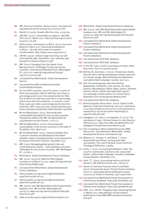- 80. IMF. Financial activities. Various issues. See www.imf. org/external/np/tre/activity/2012/010512.htm
- 81. Rodrik, D. (2009). Growth after the crisis. 01/05/09.
- 82. UNCTAD. (2011). Commodities at a glance. UNCTAD/ SUC/2011/2. March 2011. http://unctad.org/en/docs/ suc20112\_en.pdf
- 83. UN Economic Commission on Africa. (2011). Economic Report on Africa 2011: Governing development in Africa – the role of the state in economic transformation. http://www.uneca.org/era2011/
- 84. UN FAO. (2010). Global hunger declining, but still unacceptably high. September 2010. www.fao.org/ docrep/012/al390e/al390e00.pdf
- 85. IMF. (2010). Emerging from the Global Crisis: Macroeconomic Challenges Facing Low-Income Countries. International Monetary Fund. Washington DC. 05/10/10. www.imf.org/external/np/pp/ eng/2010/100510.pdf
- 86. Calculated from World Bank. Global development finance.
- 87. Calculated from IMF and World Bank Debt Sustainability Analyses.
- 88. For non-HIPC countries, out of 26 cases, in seven of them external public debt to GDP was more than 10 percentage points more than predicted by the DSA; four of which the debt was more than 20 percentage points more than the prediction. In contrast, in just three cases was debt 10 percentage points less than predicted. HIPC cases are more complicated because it was not known exactly when debts would be cancelled.
- 89. MF and World Bank. (2012). Revisiting debt sustainability framework for low-income countries. Prepared by staffs of the IMF and World Bank for consideration by their Boards. 12/01/12.
- 90. IMF and World Bank. (2010). Preserving debt sustainability in low-income countries in the wake of the global crisis. April 2010.
- 91. MF and World Bank. (2011). Heavily Indebted Poor Countries Initiative and Multilateral Debt Relief Initiative: Status of implementation and proposals for the future of the HIPC initiative. November 2011.
- 92. IMF. (2011). Managing global growth risks and commodity price shocks – Vulnerabilities and policy challenges for low-income countries. IMF. Washington DC. 21/09/11.
- 93. World Bank. Global Development Finance database.
- 94. IMF. (2012). List of LIC DSAs for PRGT-Eligible Countries as of March 8, 2012. www.imf.org/external/ Pubs/ft/dsa/DSAlist.pdf
- 95. Calculated from World Bank. Global Development Finance database.
- 96. http://unstats.un.org/unsd/mdg/SeriesDetail. aspx?srid=553&crid=231
- 97. http://unstats.un.org/unsd/mdg/SeriesDetail. aspx?srid=566&crid=231
- 98. IMF. (2010). Joint IMF/World Bank Debt Sustainability Analysis 2010. IMF and IDA. Washington DC. 26/05/10. www.imf.org/external/pubs/ft/dsa/pdf/ dsacr10175.pdf
- 99. www.amnesty.org/en/region/ethiopia/report-2011
- 100. World Bank. Global development finance database.
- 101. IMF. (2010). Joint IMF/World Bank Debt Sustainability Analysis 2010. IMF and IDA. Washington DC. 26/05/10. www.imf.org/external/pubs/ft/dsa/pdf/ dsacr10175.pdf
- 102. Calculated from World Bank Global Development Finance database.
- 103. Calculated from World Bank Global Development Finance database.
- 104. Calculated from World Bank Global Development Finance database.
- 105. Calculated from OECD DAC database.
- 106. Calculated from OECD DAC database.
- 107. In the UK's case, all this is purchase of shares rather than loans. But it is counted as aid.
- 108. Worthy, M. and Jones, T. (2011). Climate loan sharks: How the UK is making developing countries pay twice for climate change. World Development Movement and Jubilee Debt Campaign. London. June 2011.
- 109. The civil society groups were from Bolivia, Bangladesh, Cambodia, Cook Islands, Fiji, Haiti, Jamaica, Mozambique, Nepal, Niger, Samoa, Solomon Islands, Yemen, Zambia See www.wdm.org.uk/ our-campaign-climate-justice/no-climate-loansstatement-civil-society-groups-global-south
- 110. Calculated from OECD DAC database.
- 111. British Exporters Association. (2010). Export Credit Agencies: ECGD benchmarking. July 2010. www.bexa. co.uk/docs/Final%20-%202010-07-26%20bexa%20 research%20-%20eca%20benchmarking%20 report%20(final)1.pdf
- 112. Gallagher, K.P., Irwin, A. and Koleski, K. (2012). The new banks in town: Chinese finance in Latin America. February 2012. http://ase.tufts.edu/gdae/Pubs/rp/ GallagherChineseFinanceLatinAmerica.pdf
- 113. This is lending or other investments by the IBRD, IDA and IFC. Calculated from World Bank. Global Development Finance. And www.ifc.org
- 114. Mwansa, S., Chongo, G. and Bowa, C. (2011). Responsible borrowing / lending post debt cancellation: The case of Zambia. Jesuit Centre for Theological Reflection. Lusaka.
- 115. Jones, T. (2011). Uncovering Zimbabwe's debt: The case for a democratic solution to the unjust debt burden. Jubilee Debt Campaign. Eurodad. Zimbabwe Europe Network. November 2011.
- 116. Irwin, T.C. (2012). Accounting devices and fiscal illusions. IMF staff discussion note. 28/03/12.
- 117. House of Commons Treasury Select Committee. (2011). Seventeenth report: Private Finance Initiative. 18/07/11. www.publications.parliament.uk/pa/ cm201012/cmselect/cmtreasy/1146/114602.htm
- 118. Calculated from World Bank Private Participation in Infrastructure Database. http://ppi.worldbank.org
- 119. Calculated from World Bank Private Participation in Infrastructure Database. http://ppi.worldbank.org
- 120. DFID. 2011. UK Aid: Changing Lives, Delivering Results. 01 March 2011. www.dfid.gov.uk/Documents/ publications1/mar/BAR-MAR-summary-documentweb.pdf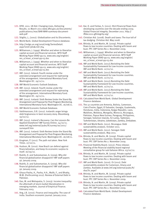- 121. DFID. 2011. UK Aid: Changing Lives, Delivering Results. 01 March 2011 www.dfid.gov.uk/Documents/ publications1/mar/BAR-MAR-summary-documentweb.pdf
- 122. Stiglitz, J., (2002). Globalization and its Discontents.
- 123. World Bank. Global Development Finance database.
- 124. http://mdgs.un.org/unsd/mdg/SeriesDetail. aspx?srid=581&crid=764
- 125. Williamson, J. (1999). Whether and when to liberalize capital account and financial services. WTO Staff Working Paper ERAD-99-03. www.wto.org/english/ res\_e/reser\_e/erad-99-03.doc
- 126. Williamson, J. (1999). Whether and when to liberalize capital account and financial services. WTO Staff Working Paper ERAD-99-03. www.wto.org/english/ res\_e/reser\_e/erad-99-03.doc
- 127. IMF. (2011). Ireland: Fourth review under the extended arrangement and request for rephrasing of the arrangement. International Monetary Fund. Washington DC. 29/11/11.
- 128. IMF World Economic Outlook Database.
- 129. IMF. (2011). Ireland: Fourth review under the extended arrangement and request for rephrasing of the arrangement. International Monetary Fund. Washington DC. 29/11/11.
- 130. IMF. (2011). Iceland: Sixth Review Under the Stand-By Arrangement and Proposal for Post-Program Monitoring. International Monetary Fund. Washington DC. 16/08/11.
- 131. IMF World Economic Outlook Database.
- 132. Valdimarsson, O.R. (2012). Icelandic anger brings debt forgiveness in best recovery story. Bloomberg. 19/02/12.
- 133. IMF. (2011). Iceland's Recovery: Can the Lessons Be Applied Elsewhere? IMF Survey Online. 24/10/11. www.imf.org/external/pubs/ft/survey/so/2011/ surveyartf.htm
- 134. IMF. (2011). Iceland: Sixth Review Under the Stand-By Arrangement and Proposal for Post-Program Monitoring. International Monetary Fund. Washington DC. 16/08/11.
- 135. Krugman, P. (2011). The path not taken. New York Times. 27/10/11.
- 136. Hudson, M. (2010). How Brazil can defend against financialization, and keep its economic surplus to itself. 16/09/10.
- 137. Rodrik, D. and Subramanian, A. (2009). Why did financial globalization disappoint? IMF staff papers 56. January 2009.
- 138. Rodrik, D. and Subramanian, A. (2009). Why did financial globalization disappoint? IMF staff papers 56. January 2009.
- 139. Ghaus-Pasha, A., Pasha, H.A., Malik, F., and Bhatty, M.M. (Forthcoming 2012). Review of External Debt in Pakistan.
- 140. Das, M. and Mohapatra, S. (2003). Income inequality: the aftermath of stock market liberalization in emerging markets. Journal of Empirical Finance. February 2003.
- 141. Ang, J.B. (2010). Finance and inequality: The case of India. Southern economic journal. January 2010.
- 142. Kar, D. and Freitas, S. (2011). Illicit financial flows from developing countries over the decade ending 2009. Global Financial Integrity. December 2011. http:// iffdec2011.gfintegrity.org/
- 143. Christian Aid. (2008). Death and taxes: The true toll of tax dodging. Christian Aid. May 2008.
- 144. Bhinda, N. and Martin, M. (2009). Private capital flows to low income countries: Dealing with boom and bust. FPC CBP Series No 2. November 2009.
- 145. Williamson, J. (1999). Whether and when to liberalize capital account and financial services. WTO Staff Working Paper ERAD-99-03. www.wto.org/english/ res\_e/reser\_e/erad-99-03.doc
- 146. IMF and World Bank. (2012).Revisiting the Debt Sustainability Framework for Low-Income countries. IMF and World Bank. 12/01/12.
- 147. IMF and World Bank. (2012).Revisiting the Debt Sustainability Framework for Low-Income countries. IMF and World Bank. 12/01/12.
- 148. IMF and World Bank. (2012).Revisiting the Debt Sustainability Framework for Low-Income countries. IMF and World Bank. 12/01/12.
- 149. IMF and World Bank. (2012).Revisiting the Debt Sustainability Framework for Low-Income countries. IMF and World Bank. 12/01/12.
- 150. Calculated from World Bank. Global Development Finance database.
- 151. The 32 countries are Armenia, Bolivia, Cameroon, Cote d'Ivoire, Egypt, El Salvador, Georgia, Guatemala, Honduras, India, Indonesia, Kyrgyz Republic, Laos, Maldives, Moldova, Mongolia, Morocco, Nicaragua, Pakistan, Papua New Guinea, Paraguay, Philippines, Senegal, Solomon Islands, Sri Lanka, Tajikistan, Turkmenistan, Ukraine, Uzbekistan, Zambia, Zimbabwe.
- 152. IMF and World Bank. (2011). Nicaragua: Debt sustainability analysis. October 2011.
- 153. IMF and World Bank. (2011). Senegal: Debt sustainability analysis. May 2011.
- 154. Bhinda, N. and Martin, M. (2009). Private capital flows to low income countries: Dealing with boom and bust. FPC CBP Series No 2. November 2009.
- 155. Financial Stability Board. (2012). Press release: Meeting of the financial stability board regional consultative group for sub-Saharan Africa. 03/02/12.
- 156. Bhinda, N. and Martin, M. (2009). Private capital flows to low income countries: Dealing with boom and bust. FPC CBP Series No 2. November 2009.
- 157. IMF and World Bank. (2010). Or (2011). Debt sustainability analysis for Cameroon, Ghana and Zambia. Available at www.imf.org/external/pubs/ft/ dsa/lic.aspx?
- 158. Bhinda, N. and Martin, M. (2009). Private capital flows to low income countries: Dealing with boom and bust. FPC CBP Series No 2. November 2009.
- 159. Bhinda, N. and Martin, M. (2009). Private capital flows to low income countries: Dealing with boom and bust. FPC CBP Series No 2. November 2009.
- 160. Calculated from World Bank. Global Development Finance database.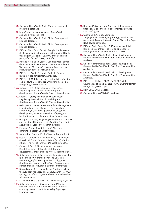- 161. Calculated from World Bank. World Development Indicators database.
- 162. http://mdgs.un.org/unsd/mdg/SeriesDetail. aspx?srid=580&crid=268
- 163. Calculated from World Bank. Global Development Finance database.
- 164. Calculated from World Bank. Global Development Finance database.
- 165. IMF and World Bank. (2010). Georgia: Public sector debt sustainability framework. IMF and World Bank. Washington DC. 24/06/10. www.imf.org/external/ pubs/ft/scr/2010/cr10219.pdf#DSA
- 166. IMF and World Bank. (2010). Georgia: Public sector debt sustainability framework. IMF and World Bank. Washington DC. 24/06/10. www.imf.org/external/ pubs/ft/scr/2010/cr10219.pdf#DSA
- 167. IMF. (2012). World Economic Outlook: Growth resuming, dangers remain. April 2012.
- 168. IMF. (2011). Multilateral aspects of policies affecting capital flows. October 2011. www.imf.org/external/ np/pp/eng/2011/101311.pdf
- 169. Chowla, P. (2011). Time for a new consensus: Regulating financial flows for stability and development. Bretton Woods Project. December 2011.
- 170. Chowla, P. (2011). Time for a new consensus: Regulating financial flows for stability and development. Bretton Woods Project. December 2011.
- 171. Gallagher, K. (2012). Cross-border financial regulation is justified now more than ever. The Guardian. London. 19/04/12. www.guardian.co.uk/globaldevelopment/poverty-matters/2012/apr/19/crossborder-financial-regulation-justified?intcmp=122
- 172. Gallagher, K. (2011). Regaining control? Capital controls and the Global Financial Crisis. Working Paper Series 250. Political Economy Research Institute.
- 173. Reinhart, C. and Rogoff, K. (2009). This time is different. Princeton University Press.
- 174. www.imf.org/external/pubs/ft/aa/index.htm#art6
- 175. Ostry, J.D., Ghosh, A.R., Habermeier, K. Chamon, M., Qureshi, M.S. and Reinhardt, D.B.S. (2010). Capital inflows: The role of controls. IMF. Washington DC.
- 176. Chowla, P. (2011). Time for a new consensus: Regulating financial flows for stability and development. Bretton Woods Project. December 2011.
- 177. Gallagher, K. (2012). Cross-border financial regulation is justified now more than ever. The Guardian. London. 19/04/12. www.guardian.co.uk/globaldevelopment/poverty-matters/2012/apr/19/crossborder-financial-regulation-justified?intcmp=122
- 178. Devarakonda, R. K. (2012). Tale of Two Approaches the WTO Torn Asunder? IPS. Geneva. 24/03/12. www. ips.org/africa/2012/03/tale-of-two-approaches-thewto-torn-asunder/
- 179. EU Member States. (2007). The Lisbon Treaty. 13/12/07.
- 180. Gallagher, K. (2011). Regaining control? Capital controls and the Global Financial Crisis. Political economy research institute. Working Paper 250. February 2011.
- 181. Hudson, M. (2010). How Brazil can defend against financialization, and keep its economic surplus to itself. 16/09/10.
- 182. Guinnane, T.W. (2004). Financial Vergangenheitsbewältigung: The 1953 London Debt Agreement. Economic Growth Center Discussion Paper No. 880. January 2004.
- 183. IMF and World Bank. (2011). Managing volatility in low-income countries: The role and potential for contingent financial instruments. 31/10/11.
- 184. Calculated from World Bank. Global development finance. And IMF and World Bank Debt Sustainability Analyses.
- 185. Calculated from World Bank. Global development finance. And IMF and World Bank Debt Sustainability Analyses.
- 186. Calculated from World Bank. Global development finance. And IMF and World Bank Debt Sustainability Analyses.
- 187. IMF. (2012). List of LIC DSAs for PRGT-Eligible Countries as of March 8, 2012. www.imf.org/external/ Pubs/ft/dsa/DSAlist.pdf
- 188. From OECD DAC database.
- 189. Calculated from OECD DAC database.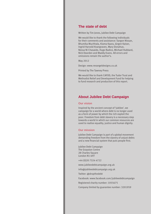## **The state of debt**

Written by Tim Jones, Jubilee Debt Campaign

We would like to thank the following individuals for their comments and assistance: Sargon Nissan, Bhumika Muchhala, Kiama Kaara, Jürgen Kaiser, Ingrid Harvold Kvangraven, Mary Donahue, Nessa Ni Chasaide, Hugo Radice, Michael Hubbard, Nick Dearden and Maddy Evans. All errors and omissions remain the author's.

May 2012

Design: www.revangeldesigns.co.uk

Printed by The Tawney Press

We would like to thank CAFOD, the Tudor Trust and Methodist Relief and Development Fund for helping to fund research and production of this report.

## **About Jubilee Debt Campaign**

#### **Our vision**

Inspired by the ancient concept of 'jubilee', we campaign for a world where debt is no longer used as a form of power by which the rich exploit the poor. Freedom from debt slavery is a necessary step towards a world in which our common resources are used to realise equality, justice and human dignity.

#### **Our mission**

Jubilee Debt Campaign is part of a global movement demanding freedom from the slavery of unjust debts and a new financial system that puts people first.

Jubilee Debt Campaign The Grayston Centre 28 Charles Square London N1 6HT

+44 (0)20 7324 4722

www.jubileedebtcampaign.org.uk

info@jubileedebtcampaign.org.uk

Twitter: @dropthedebt

Facebook: www.facebook.com/jubileedebtcampaign

Registered charity number: 1055675

Company limited by guarantee number: 3201959